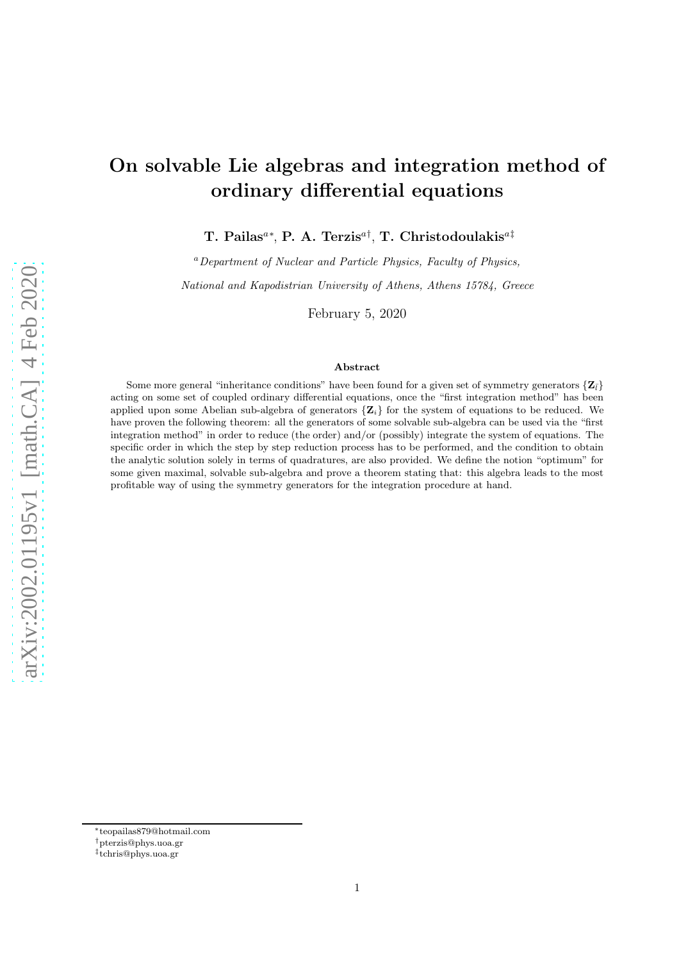# On solvable Lie algebras and integration method of ordinary differential equations

T. Pailas $^{a*}$ , P. A. Terzis $^{a\dagger}$ , T. Christodoulakis $^{a\dagger}$ 

<sup>a</sup>Department of Nuclear and Particle Physics, Faculty of Physics, National and Kapodistrian University of Athens, Athens 15784, Greece

February 5, 2020

#### Abstract

Some more general "inheritance conditions" have been found for a given set of symmetry generators  ${Z<sub>i</sub>}$ acting on some set of coupled ordinary differential equations, once the "first integration method" has been applied upon some Abelian sub-algebra of generators  $\{Z_i\}$  for the system of equations to be reduced. We have proven the following theorem: all the generators of some solvable sub-algebra can be used via the "first integration method" in order to reduce (the order) and/or (possibly) integrate the system of equations. The specific order in which the step by step reduction process has to be performed, and the condition to obtain the analytic solution solely in terms of quadratures, are also provided. We define the notion "optimum" for some given maximal, solvable sub-algebra and prove a theorem stating that: this algebra leads to the most profitable way of using the symmetry generators for the integration procedure at hand.

<sup>∗</sup> teopailas879@hotmail.com

<sup>†</sup>pterzis@phys.uoa.gr

<sup>‡</sup> tchris@phys.uoa.gr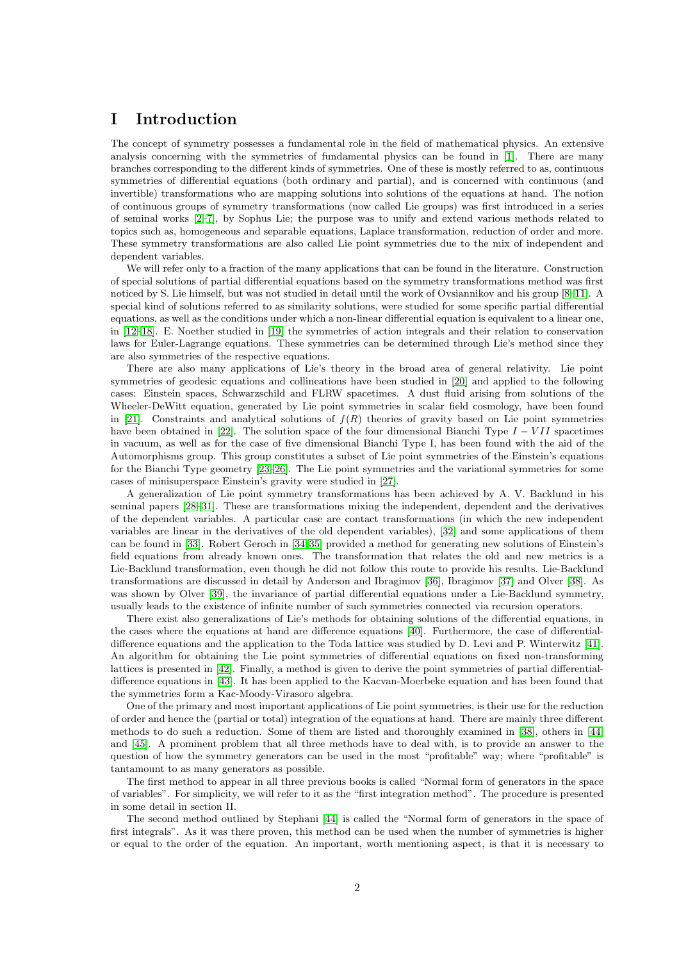# I Introduction

The concept of symmetry possesses a fundamental role in the field of mathematical physics. An extensive analysis concerning with the symmetries of fundamental physics can be found in [\[1\]](#page-19-0). There are many branches corresponding to the different kinds of symmetries. One of these is mostly referred to as, continuous symmetries of differential equations (both ordinary and partial), and is concerned with continuous (and invertible) transformations who are mapping solutions into solutions of the equations at hand. The notion of continuous groups of symmetry transformations (now called Lie groups) was first introduced in a series of seminal works [\[2](#page-19-1)[–7\]](#page-19-2), by Sophus Lie; the purpose was to unify and extend various methods related to topics such as, homogeneous and separable equations, Laplace transformation, reduction of order and more. These symmetry transformations are also called Lie point symmetries due to the mix of independent and dependent variables.

We will refer only to a fraction of the many applications that can be found in the literature. Construction of special solutions of partial differential equations based on the symmetry transformations method was first noticed by S. Lie himself, but was not studied in detail until the work of Ovsiannikov and his group [\[8](#page-19-3)[–11\]](#page-19-4). A special kind of solutions referred to as similarity solutions, were studied for some specific partial differential equations, as well as the conditions under which a non-linear differential equation is equivalent to a linear one, in [\[12–](#page-19-5)[18\]](#page-19-6). E. Noether studied in [\[19\]](#page-19-7) the symmetries of action integrals and their relation to conservation laws for Euler-Lagrange equations. These symmetries can be determined through Lie's method since they are also symmetries of the respective equations.

There are also many applications of Lie's theory in the broad area of general relativity. Lie point symmetries of geodesic equations and collineations have been studied in [\[20\]](#page-20-0) and applied to the following cases: Einstein spaces, Schwarzschild and FLRW spacetimes. A dust fluid arising from solutions of the Wheeler-DeWitt equation, generated by Lie point symmetries in scalar field cosmology, have been found in [\[21\]](#page-20-1). Constraints and analytical solutions of  $f(R)$  theories of gravity based on Lie point symmetries have been obtained in [\[22\]](#page-20-2). The solution space of the four dimensional Bianchi Type  $I - VII$  spacetimes in vacuum, as well as for the case of five dimensional Bianchi Type I, has been found with the aid of the Automorphisms group. This group constitutes a subset of Lie point symmetries of the Einstein's equations for the Bianchi Type geometry [\[23](#page-20-3)[–26\]](#page-20-4). The Lie point symmetries and the variational symmetries for some cases of minisuperspace Einstein's gravity were studied in [\[27\]](#page-20-5).

A generalization of Lie point symmetry transformations has been achieved by A. V. Backlund in his seminal papers [\[28–](#page-20-6)[31\]](#page-20-7). These are transformations mixing the independent, dependent and the derivatives of the dependent variables. A particular case are contact transformations (in which the new independent variables are linear in the derivatives of the old dependent variables), [\[32\]](#page-20-8) and some applications of them can be found in [\[33\]](#page-20-9). Robert Geroch in [\[34,](#page-20-10) [35\]](#page-20-11) provided a method for generating new solutions of Einstein's field equations from already known ones. The transformation that relates the old and new metrics is a Lie-Backlund transformation, even though he did not follow this route to provide his results. Lie-Backlund transformations are discussed in detail by Anderson and Ibragimov [\[36\]](#page-20-12), Ibragimov [\[37\]](#page-20-13) and Olver [\[38\]](#page-20-14). As was shown by Olver [\[39\]](#page-20-15), the invariance of partial differential equations under a Lie-Backlund symmetry, usually leads to the existence of infinite number of such symmetries connected via recursion operators.

There exist also generalizations of Lie's methods for obtaining solutions of the differential equations, in the cases where the equations at hand are difference equations [\[40\]](#page-20-16). Furthermore, the case of differentialdifference equations and the application to the Toda lattice was studied by D. Levi and P. Winterwitz [\[41\]](#page-20-17). An algorithm for obtaining the Lie point symmetries of differential equations on fixed non-transforming lattices is presented in [\[42\]](#page-20-18). Finally, a method is given to derive the point symmetries of partial differentialdifference equations in [\[43\]](#page-20-19). It has been applied to the Kacvan-Moerbeke equation and has been found that the symmetries form a Kac-Moody-Virasoro algebra.

One of the primary and most important applications of Lie point symmetries, is their use for the reduction of order and hence the (partial or total) integration of the equations at hand. There are mainly three different methods to do such a reduction. Some of them are listed and thoroughly examined in [\[38\]](#page-20-14), others in [\[44\]](#page-20-20) and [\[45\]](#page-20-21). A prominent problem that all three methods have to deal with, is to provide an answer to the question of how the symmetry generators can be used in the most "profitable" way; where "profitable" is tantamount to as many generators as possible.

The first method to appear in all three previous books is called "Normal form of generators in the space of variables". For simplicity, we will refer to it as the "first integration method". The procedure is presented in some detail in section II.

The second method outlined by Stephani [\[44\]](#page-20-20) is called the "Normal form of generators in the space of first integrals". As it was there proven, this method can be used when the number of symmetries is higher or equal to the order of the equation. An important, worth mentioning aspect, is that it is necessary to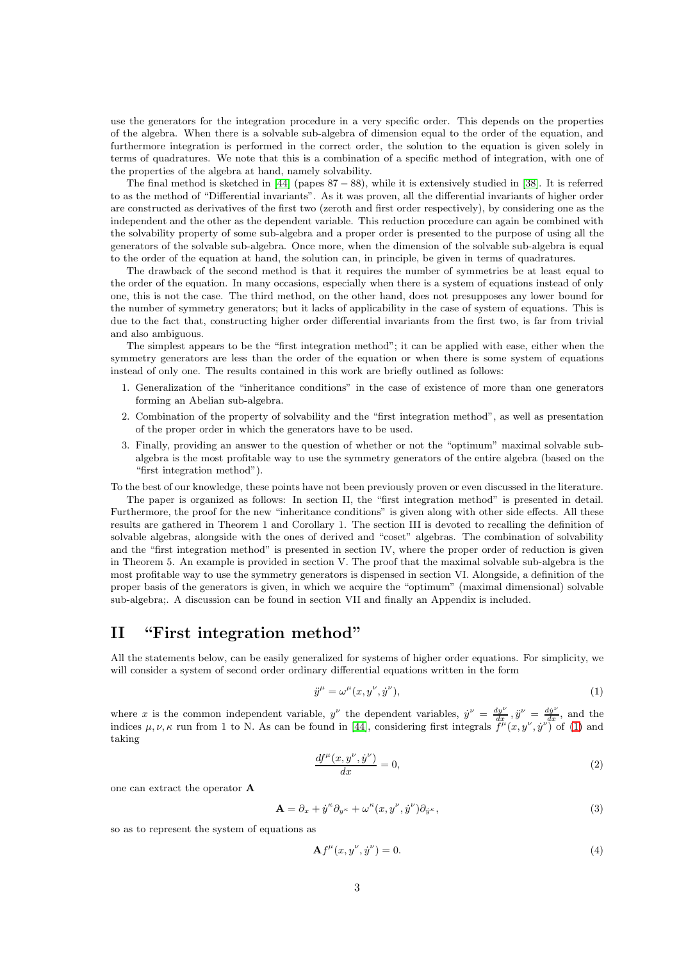use the generators for the integration procedure in a very specific order. This depends on the properties of the algebra. When there is a solvable sub-algebra of dimension equal to the order of the equation, and furthermore integration is performed in the correct order, the solution to the equation is given solely in terms of quadratures. We note that this is a combination of a specific method of integration, with one of the properties of the algebra at hand, namely solvability.

The final method is sketched in [\[44\]](#page-20-20) (papes 87 − 88), while it is extensively studied in [\[38\]](#page-20-14). It is referred to as the method of "Differential invariants". As it was proven, all the differential invariants of higher order are constructed as derivatives of the first two (zeroth and first order respectively), by considering one as the independent and the other as the dependent variable. This reduction procedure can again be combined with the solvability property of some sub-algebra and a proper order is presented to the purpose of using all the generators of the solvable sub-algebra. Once more, when the dimension of the solvable sub-algebra is equal to the order of the equation at hand, the solution can, in principle, be given in terms of quadratures.

The drawback of the second method is that it requires the number of symmetries be at least equal to the order of the equation. In many occasions, especially when there is a system of equations instead of only one, this is not the case. The third method, on the other hand, does not presupposes any lower bound for the number of symmetry generators; but it lacks of applicability in the case of system of equations. This is due to the fact that, constructing higher order differential invariants from the first two, is far from trivial and also ambiguous.

The simplest appears to be the "first integration method"; it can be applied with ease, either when the symmetry generators are less than the order of the equation or when there is some system of equations instead of only one. The results contained in this work are briefly outlined as follows:

- 1. Generalization of the "inheritance conditions" in the case of existence of more than one generators forming an Abelian sub-algebra.
- 2. Combination of the property of solvability and the "first integration method", as well as presentation of the proper order in which the generators have to be used.
- 3. Finally, providing an answer to the question of whether or not the "optimum" maximal solvable subalgebra is the most profitable way to use the symmetry generators of the entire algebra (based on the "first integration method").

To the best of our knowledge, these points have not been previously proven or even discussed in the literature.

The paper is organized as follows: In section II, the "first integration method" is presented in detail. Furthermore, the proof for the new "inheritance conditions" is given along with other side effects. All these results are gathered in Theorem 1 and Corollary 1. The section III is devoted to recalling the definition of solvable algebras, alongside with the ones of derived and "coset" algebras. The combination of solvability and the "first integration method" is presented in section IV, where the proper order of reduction is given in Theorem 5. An example is provided in section V. The proof that the maximal solvable sub-algebra is the most profitable way to use the symmetry generators is dispensed in section VI. Alongside, a definition of the proper basis of the generators is given, in which we acquire the "optimum" (maximal dimensional) solvable sub-algebra;. A discussion can be found in section VII and finally an Appendix is included.

## II "First integration method"

All the statements below, can be easily generalized for systems of higher order equations. For simplicity, we will consider a system of second order ordinary differential equations written in the form

<span id="page-2-0"></span>
$$
\ddot{y}^{\mu} = \omega^{\mu}(x, y^{\nu}, \dot{y}^{\nu}),\tag{1}
$$

where x is the common independent variable,  $y^{\nu}$  the dependent variables,  $\dot{y}^{\nu} = \frac{dy^{\nu}}{dx}$ ,  $\ddot{y}^{\nu} = \frac{dy^{\nu}}{dx}$ , and the indices  $\mu, \nu, \kappa$  run from 1 to N. As can be found in [\[44\]](#page-20-20), considering first integrals  $\overline{f}^{\mu}(x, y^{\nu}, \dot{y}^{\nu})$  of [\(1\)](#page-2-0) and taking

$$
\frac{df^{\mu}(x, y^{\nu}, \dot{y}^{\nu})}{dx} = 0,
$$
\n(2)

one can extract the operator A

$$
\mathbf{A} = \partial_x + \dot{y}^\kappa \partial_{y^\kappa} + \omega^\kappa(x, y^\nu, \dot{y}^\nu) \partial_{\dot{y}^\kappa},\tag{3}
$$

so as to represent the system of equations as

$$
\mathbf{A}f^{\mu}(x, y^{\nu}, \dot{y}^{\nu}) = 0. \tag{4}
$$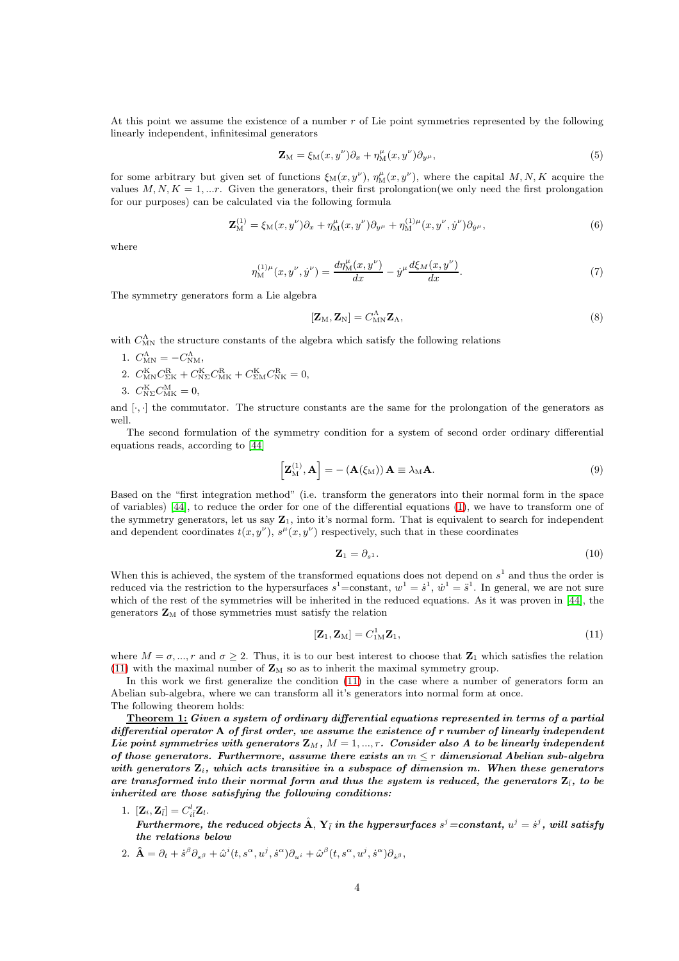At this point we assume the existence of a number  $r$  of Lie point symmetries represented by the following linearly independent, infinitesimal generators

$$
\mathbf{Z}_{\mathrm{M}} = \xi_{\mathrm{M}}(x, y^{\nu})\partial_x + \eta_{\mathrm{M}}^{\mu}(x, y^{\nu})\partial_{y^{\mu}},\tag{5}
$$

for some arbitrary but given set of functions  $\xi_M(x, y^\nu)$ ,  $\eta_M^{\mu}(x, y^\nu)$ , where the capital  $M, N, K$  acquire the values  $M, N, K = 1, \dots r$ . Given the generators, their first prolongation(we only need the first prolongation for our purposes) can be calculated via the following formula

$$
\mathbf{Z}_{\mathbf{M}}^{(1)} = \xi_{\mathbf{M}}(x, y^{\nu})\partial_{x} + \eta_{\mathbf{M}}^{\mu}(x, y^{\nu})\partial_{y^{\mu}} + \eta_{\mathbf{M}}^{(1)\mu}(x, y^{\nu}, y^{\nu})\partial_{y^{\mu}},
$$
\n(6)

where

$$
\eta_{\mathcal{M}}^{(1)\mu}(x, y^{\nu}, \dot{y}^{\nu}) = \frac{d\eta_{\mathcal{M}}^{\mu}(x, y^{\nu})}{dx} - \dot{y}^{\mu} \frac{d\xi_{\mathcal{M}}(x, y^{\nu})}{dx}.
$$
\n(7)

The symmetry generators form a Lie algebra

$$
[\mathbf{Z}_{\mathrm{M}}, \mathbf{Z}_{\mathrm{N}}] = C_{\mathrm{M} \mathrm{N}}^{\Lambda} \mathbf{Z}_{\mathrm{A}},\tag{8}
$$

with  $C_{MN}^{\Lambda}$  the structure constants of the algebra which satisfy the following relations

- 1.  $C_{MN}^{\Lambda} = -C_{NM}^{\Lambda},$
- 2.  $C_{\text{MN}}^{\text{K}} C_{\text{XK}}^{\text{R}} + C_{\text{N}\Sigma}^{\text{K}} C_{\text{MK}}^{\text{R}} + C_{\text{ZM}}^{\text{K}} C_{\text{NK}}^{\text{R}} = 0,$
- 3.  $C_{N\Sigma}^{K}C_{MK}^{M}=0,$

and  $[\cdot, \cdot]$  the commutator. The structure constants are the same for the prolongation of the generators as well.

The second formulation of the symmetry condition for a system of second order ordinary differential equations reads, according to [\[44\]](#page-20-20)

$$
\left[\mathbf{Z}_{\mathrm{M}}^{(1)},\mathbf{A}\right] = -\left(\mathbf{A}(\xi_{\mathrm{M}})\right)\mathbf{A} \equiv \lambda_{\mathrm{M}}\mathbf{A}.\tag{9}
$$

Based on the "first integration method" (i.e. transform the generators into their normal form in the space of variables) [\[44\]](#page-20-20), to reduce the order for one of the differential equations [\(1\)](#page-2-0), we have to transform one of the symmetry generators, let us say  $\mathbb{Z}_1$ , into it's normal form. That is equivalent to search for independent and dependent coordinates  $t(x, y^{\nu})$ ,  $s^{\mu}(x, y^{\nu})$  respectively, such that in these coordinates

<span id="page-3-0"></span>
$$
\mathbf{Z}_1 = \partial_{s^1}.\tag{10}
$$

When this is achieved, the system of the transformed equations does not depend on  $s<sup>1</sup>$  and thus the order is reduced via the restriction to the hypersurfaces  $s^1$ =constant,  $w^1 = \dot{s}^1$ ,  $\dot{w}^1 = \ddot{s}^1$ . In general, we are not sure which of the rest of the symmetries will be inherited in the reduced equations. As it was proven in [\[44\]](#page-20-20), the generators  $\mathbf{Z}_M$  of those symmetries must satisfy the relation

$$
\left[\mathbf{Z}_1, \mathbf{Z}_M\right] = C_{1M}^1 \mathbf{Z}_1,\tag{11}
$$

where  $M = \sigma, ..., r$  and  $\sigma \geq 2$ . Thus, it is to our best interest to choose that  $\mathbb{Z}_1$  which satisfies the relation [\(11\)](#page-3-0) with the maximal number of  $\mathbf{Z}_M$  so as to inherit the maximal symmetry group.

In this work we first generalize the condition  $(11)$  in the case where a number of generators form an Abelian sub-algebra, where we can transform all it's generators into normal form at once. The following theorem holds:

Theorem 1: Given a system of ordinary differential equations represented in terms of a partial differential operator A of first order, we assume the existence of r number of linearly independent Lie point symmetries with generators  $\mathbf{Z}_M$ ,  $M = 1, ..., r$ . Consider also A to be linearly independent of those generators. Furthermore, assume there exists an  $m \leq r$  dimensional Abelian sub-algebra with generators  $\mathbf{Z}_i$ , which acts transitive in a subspace of dimension m. When these generators are transformed into their normal form and thus the system is reduced, the generators  $\mathbf{Z}_{\bar{l}}$ , to be inherited are those satisfying the following conditions:

- 1.  $[\mathbf{Z}_i, \mathbf{Z}_{\bar{l}}] = C_{i\bar{l}}^l \mathbf{Z}_l$ . Furthermore, the reduced objects  $\hat{A}$ ,  $Y_{\bar{l}}$  in the hypersurfaces  $s^j = constant$ ,  $u^j = \dot{s}^j$ , will satisfy the relations below
- 2.  $\hat{\mathbf{A}} = \partial_t + \dot{s}^{\beta} \partial_{s^{\beta}} + \hat{\omega}^i(t, s^{\alpha}, u^j, \dot{s}^{\alpha}) \partial_{u^i} + \hat{\omega}^{\beta}(t, s^{\alpha}, u^j, \dot{s}^{\alpha}) \partial_{s^{\beta}},$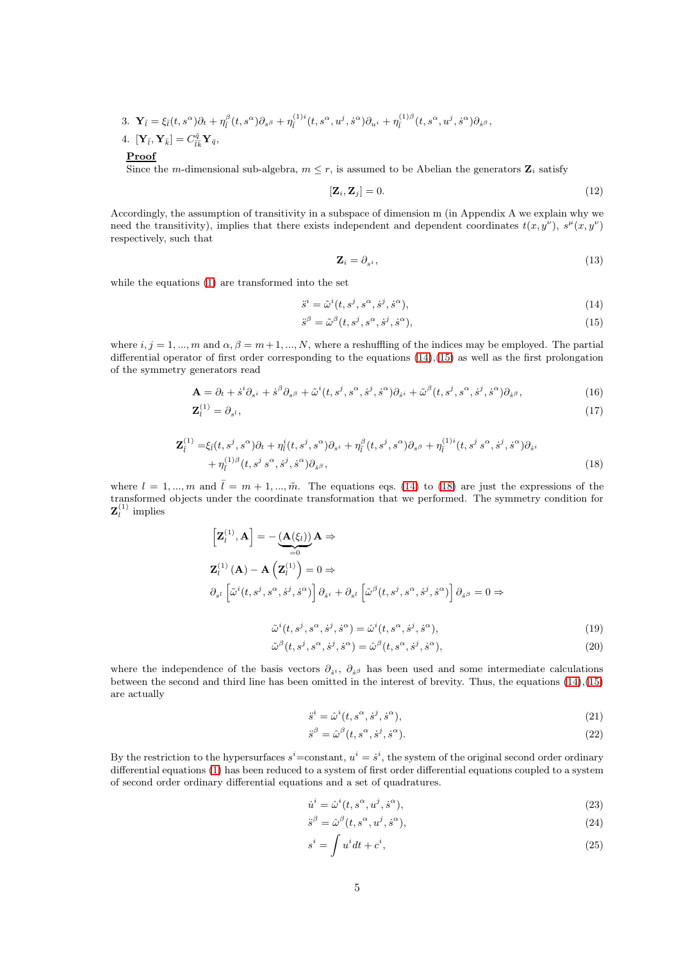3.  $\mathbf{Y}_{\bar{l}} = \xi_{\bar{l}}(t, s^{\alpha})\partial_t + \eta_{\bar{l}}^{\beta}(t, s^{\alpha})\partial_{s^{\beta}} + \eta_{\bar{l}}^{(1)i}(t, s^{\alpha}, u^j, \dot{s}^{\alpha})\partial_{u^i} + \eta_{\bar{l}}^{(1)\beta}(t, s^{\alpha}, u^j, \dot{s}^{\alpha})\partial_{s^{\beta}},$ 4.  $[\mathbf{Y}_{\bar{l}}, \mathbf{Y}_{\bar{k}}] = C^{\bar{q}}_{\bar{l}\bar{k}} \mathbf{Y}_{\bar{q}},$ Proof

Since the m-dimensional sub-algebra,  $m \leq r$ , is assumed to be Abelian the generators  $\mathbf{Z}_i$  satisfy

<span id="page-4-3"></span>
$$
[\mathbf{Z}_i, \mathbf{Z}_j] = 0. \tag{12}
$$

Accordingly, the assumption of transitivity in a subspace of dimension m (in Appendix A we explain why we need the transitivity), implies that there exists independent and dependent coordinates  $t(x, y^{\nu})$ ,  $s^{\mu}(x, y^{\nu})$ respectively, such that

<span id="page-4-1"></span><span id="page-4-0"></span>
$$
\mathbf{Z}_i = \partial_{s^i},\tag{13}
$$

while the equations [\(1\)](#page-2-0) are transformed into the set

$$
\ddot{s}^i = \tilde{\omega}^i(t, s^j, s^\alpha, \dot{s}^j, \dot{s}^\alpha),\tag{14}
$$

<span id="page-4-2"></span>
$$
\ddot{s}^{\beta} = \tilde{\omega}^{\beta}(t, s^j, s^{\alpha}, \dot{s}^j, \dot{s}^{\alpha}),\tag{15}
$$

where  $i, j = 1, ..., m$  and  $\alpha, \beta = m+1, ..., N$ , where a reshuffling of the indices may be employed. The partial differential operator of first order corresponding to the equations  $(14),(15)$  $(14),(15)$  as well as the first prolongation of the symmetry generators read

$$
\mathbf{A} = \partial_t + \dot{s}^i \partial_{s^i} + \dot{s}^\beta \partial_{s^\beta} + \tilde{\omega}^i(t, s^j, s^\alpha, \dot{s}^j, \dot{s}^\alpha) \partial_{\dot{s}^i} + \tilde{\omega}^\beta(t, s^j, s^\alpha, \dot{s}^j, \dot{s}^\alpha) \partial_{\dot{s}^\beta},\tag{16}
$$

$$
\mathbf{Z}_{l}^{(1)} = \partial_{s^{l}},\tag{17}
$$

$$
\mathbf{Z}_{\overline{l}}^{(1)} = \xi_{\overline{l}}(t, s^j, s^\alpha)\partial_t + \eta_{\overline{l}}^i(t, s^j, s^\alpha)\partial_{s^i} + \eta_{\overline{l}}^\beta(t, s^j, s^\alpha)\partial_{s^\beta} + \eta_{\overline{l}}^{(1)i}(t, s^j s^\alpha, \dot{s}^j, \dot{s}^\alpha)\partial_{s^i} + \eta_{\overline{l}}^{(1)\beta}(t, s^j s^\alpha, \dot{s}^j, \dot{s}^\alpha)\partial_{s^\beta},
$$
\n(18)

where  $l = 1, ..., m$  and  $\bar{l} = m + 1, ..., \tilde{m}$ . The equations eqs. [\(14\)](#page-4-0) to [\(18\)](#page-4-2) are just the expressions of the transformed objects under the coordinate transformation that we performed. The symmetry condition for  $\mathbf{Z}_{l}^{(1)}$  implies

$$
\left[\mathbf{Z}_{l}^{(1)}, \mathbf{A}\right] = -\underbrace{\left(\mathbf{A}(\xi_{l})\right)}_{=0} \mathbf{A} \Rightarrow
$$
\n
$$
\mathbf{Z}_{l}^{(1)}\left(\mathbf{A}\right) - \mathbf{A}\left(\mathbf{Z}_{l}^{(1)}\right) = 0 \Rightarrow
$$
\n
$$
\partial_{s^{l}}\left[\tilde{\omega}^{i}(t, s^{j}, s^{\alpha}, \dot{s}^{j}, \dot{s}^{\alpha})\right] \partial_{s^{i}} + \partial_{s^{l}}\left[\tilde{\omega}^{\beta}(t, s^{j}, s^{\alpha}, \dot{s}^{j}, \dot{s}^{\alpha})\right] \partial_{s^{\beta}} = 0 \Rightarrow
$$

$$
\tilde{\omega}^i(t, s^j, s^\alpha, \dot{s}^j, \dot{s}^\alpha) = \hat{\omega}^i(t, s^\alpha, \dot{s}^j, \dot{s}^\alpha),\tag{19}
$$

$$
\tilde{\omega}^{\beta}(t, s^j, s^{\alpha}, \dot{s}^j, \dot{s}^{\alpha}) = \hat{\omega}^{\beta}(t, s^{\alpha}, \dot{s}^j, \dot{s}^{\alpha}), \qquad (20)
$$

where the independence of the basis vectors  $\partial_{s^i}$ ,  $\partial_{s^{\beta}}$  has been used and some intermediate calculations between the second and third line has been omitted in the interest of brevity. Thus, the equations [\(14\)](#page-4-0),[\(15\)](#page-4-1) are actually

$$
\ddot{s}^i = \hat{\omega}^i(t, s^\alpha, \dot{s}^j, \dot{s}^\alpha),\tag{21}
$$

$$
\ddot{s}^{\beta} = \hat{\omega}^{\beta}(t, s^{\alpha}, \dot{s}^{j}, \dot{s}^{\alpha}). \tag{22}
$$

By the restriction to the hypersurfaces  $s^i$ =constant,  $u^i = \dot{s}^i$ , the system of the original second order ordinary differential equations [\(1\)](#page-2-0) has been reduced to a system of first order differential equations coupled to a system of second order ordinary differential equations and a set of quadratures.

$$
\dot{u}^i = \hat{\omega}^i(t, s^\alpha, u^j, \dot{s}^\alpha),\tag{23}
$$

$$
\ddot{s}^{\beta} = \hat{\omega}^{\beta}(t, s^{\alpha}, u^{j}, s^{\alpha}), \qquad (24)
$$

$$
s^i = \int u^i dt + c^i,
$$
\n(25)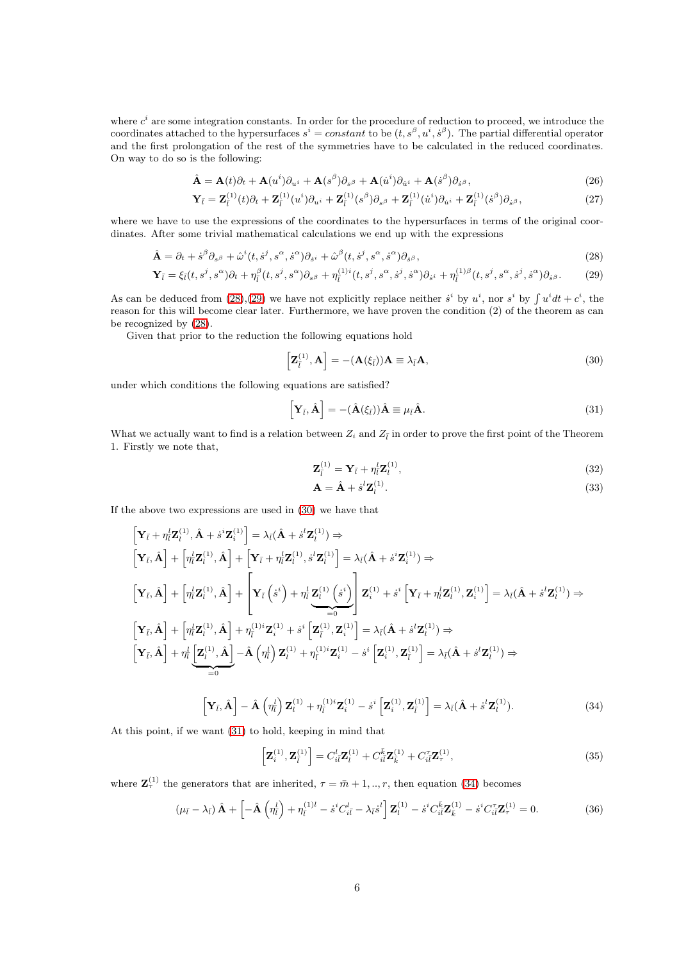where  $c^i$  are some integration constants. In order for the procedure of reduction to proceed, we introduce the coordinates attached to the hypersurfaces  $s^i = constant$  to be  $(t, s^{\beta}, u^i, s^{\beta})$ . The partial differential operator and the first prolongation of the rest of the symmetries have to be calculated in the reduced coordinates. On way to do so is the following:

$$
\hat{\mathbf{A}} = \mathbf{A}(t)\partial_t + \mathbf{A}(u^i)\partial_{u^i} + \mathbf{A}(s^\beta)\partial_{s^\beta} + \mathbf{A}(u^i)\partial_{u^i} + \mathbf{A}(s^\beta)\partial_{s^\beta},\tag{26}
$$

$$
\mathbf{Y}_{\bar{l}} = \mathbf{Z}_{\bar{l}}^{(1)}(t)\partial_t + \mathbf{Z}_{\bar{l}}^{(1)}(u^i)\partial_{u^i} + \mathbf{Z}_{\bar{l}}^{(1)}(s^\beta)\partial_{s^\beta} + \mathbf{Z}_{\bar{l}}^{(1)}(u^i)\partial_{u^i} + \mathbf{Z}_{\bar{l}}^{(1)}(s^\beta)\partial_{s^\beta},\tag{27}
$$

where we have to use the expressions of the coordinates to the hypersurfaces in terms of the original coordinates. After some trivial mathematical calculations we end up with the expressions

$$
\hat{\mathbf{A}} = \partial_t + \dot{s}^{\beta} \partial_{s^{\beta}} + \hat{\omega}^i(t, \dot{s}^j, s^{\alpha}, \dot{s}^{\alpha}) \partial_{s^i} + \hat{\omega}^{\beta}(t, \dot{s}^j, s^{\alpha}, \dot{s}^{\alpha}) \partial_{s^{\beta}},\tag{28}
$$

$$
\mathbf{Y}_{\bar{l}} = \xi_{\bar{l}}(t, s^j, s^\alpha)\partial_t + \eta_{\bar{l}}^\beta(t, s^j, s^\alpha)\partial_{s^\beta} + \eta_{\bar{l}}^{(1)i}(t, s^j, s^\alpha, \dot{s}^j, \dot{s}^\alpha)\partial_{\dot{s}^i} + \eta_{\bar{l}}^{(1)\beta}(t, s^j, s^\alpha, \dot{s}^j, \dot{s}^\alpha)\partial_{\dot{s}^\beta}.
$$
 (29)

As can be deduced from  $(28),(29)$  $(28),(29)$  we have not explicitly replace neither  $\dot{s}^i$  by  $u^i$ , nor  $s^i$  by  $\int u^i dt + c^i$ , the reason for this will become clear later. Furthermore, we have proven the condition (2) of the theorem as can be recognized by [\(28\)](#page-5-0).

Given that prior to the reduction the following equations hold

<span id="page-5-1"></span><span id="page-5-0"></span>
$$
\left[\mathbf{Z}_{\bar{l}}^{(1)},\mathbf{A}\right] = -(\mathbf{A}(\xi_{\bar{l}}))\mathbf{A} \equiv \lambda_{\bar{l}}\mathbf{A},\tag{30}
$$

under which conditions the following equations are satisfied?

$$
\left[\mathbf{Y}_{\bar{l}}, \hat{\mathbf{A}}\right] = -(\hat{\mathbf{A}}(\xi_{\bar{l}}))\hat{\mathbf{A}} \equiv \mu_{\bar{l}}\hat{\mathbf{A}}.
$$
\n(31)

What we actually want to find is a relation between  $Z_i$  and  $Z_{\bar{l}}$  in order to prove the first point of the Theorem 1. Firstly we note that,

<span id="page-5-3"></span><span id="page-5-2"></span>
$$
\mathbf{Z}_{\bar{l}}^{(1)} = \mathbf{Y}_{\bar{l}} + \eta_{\bar{l}}^{l} \mathbf{Z}_{l}^{(1)},\tag{32}
$$

<span id="page-5-7"></span>
$$
\mathbf{A} = \hat{\mathbf{A}} + \dot{s}^l \mathbf{Z}_l^{(1)}.
$$
 (33)

If the above two expressions are used in [\(30\)](#page-5-2) we have that

$$
\begin{split} &\left[\mathbf{Y}_{\bar{l}}+\eta_{\bar{l}}^{l}\mathbf{Z}_{l}^{(1)},\hat{\mathbf{A}}+\dot{s}^{i}\mathbf{Z}_{i}^{(1)}\right]=\lambda_{\bar{l}}(\hat{\mathbf{A}}+\dot{s}^{l}\mathbf{Z}_{l}^{(1)})\Rightarrow\\ &\left[\mathbf{Y}_{\bar{l}},\hat{\mathbf{A}}\right]+\left[\eta_{\bar{l}}^{l}\mathbf{Z}_{l}^{(1)},\hat{\mathbf{A}}\right]+\left[\mathbf{Y}_{\bar{l}}+\eta_{\bar{l}}^{l}\mathbf{Z}_{l}^{(1)},\dot{s}^{l}\mathbf{Z}_{l}^{(1)}\right]=\lambda_{\bar{l}}(\hat{\mathbf{A}}+\dot{s}^{i}\mathbf{Z}_{i}^{(1)})\Rightarrow\\ &\left[\mathbf{Y}_{\bar{l}},\hat{\mathbf{A}}\right]+\left[\eta_{\bar{l}}^{l}\mathbf{Z}_{l}^{(1)},\hat{\mathbf{A}}\right]+\left[\mathbf{Y}_{\bar{l}}\left(\dot{s}^{i}\right)+\eta_{\bar{l}}^{l}\mathbf{Z}_{l}^{(1)}\left(\dot{s}^{i}\right)\right]\mathbf{Z}_{i}^{(1)}+\dot{s}^{i}\left[\mathbf{Y}_{\bar{l}}+\eta_{\bar{l}}^{l}\mathbf{Z}_{l}^{(1)},\mathbf{Z}_{i}^{(1)}\right]=\lambda_{\bar{l}}(\hat{\mathbf{A}}+\dot{s}^{l}\mathbf{Z}_{l}^{(1)})\Rightarrow\\ &\left[\mathbf{Y}_{\bar{l}},\hat{\mathbf{A}}\right]+\left[\eta_{\bar{l}}^{l}\mathbf{Z}_{l}^{(1)},\hat{\mathbf{A}}\right]+\eta_{\bar{l}}^{(1)i}\mathbf{Z}_{i}^{(1)}+\dot{s}^{i}\left[\mathbf{Z}_{\bar{l}}^{(1)},\mathbf{Z}_{i}^{(1)}\right]=\lambda_{\bar{l}}(\hat{\mathbf{A}}+\dot{s}^{l}\mathbf{Z}_{l}^{(1)})\Rightarrow\\ &\left[\mathbf{Y}_{\bar{l}},\hat{\mathbf{A}}\right]+\eta_{\bar{l}}^{l}\left[\mathbf{Z}_{l}^{(1)},\hat{\mathbf{A}}\right]-\hat{\mathbf{A}}\left(\eta_{\bar{l}}^{l}\right)\mathbf{Z}_{l}^{(1)}+\eta_{\bar{l}}^{(1)i}\mathbf{Z}_{i}^{(1)}-\dot{s}^{i}\left[\mathbf{Z}_{i}^{(1)},\mathbf{Z}_{\bar{l}}^{
$$

$$
\left[\mathbf{Y}_{\bar{l}},\hat{\mathbf{A}}\right] - \hat{\mathbf{A}}\left(\eta_{\bar{l}}^{l}\right)\mathbf{Z}_{l}^{(1)} + \eta_{\bar{l}}^{(1)i}\mathbf{Z}_{i}^{(1)} - \dot{s}^{i}\left[\mathbf{Z}_{i}^{(1)},\mathbf{Z}_{\bar{l}}^{(1)}\right] = \lambda_{\bar{l}}(\hat{\mathbf{A}} + \dot{s}^{l}\mathbf{Z}_{l}^{(1)}).
$$
\n(34)

At this point, if we want [\(31\)](#page-5-3) to hold, keeping in mind that

<span id="page-5-6"></span><span id="page-5-5"></span><span id="page-5-4"></span>
$$
\left[\mathbf{Z}_{i}^{(1)},\mathbf{Z}_{\bar{l}}^{(1)}\right]=C_{i\bar{l}}^{l}\mathbf{Z}_{l}^{(1)}+C_{i\bar{l}}^{\bar{k}}\mathbf{Z}_{\bar{k}}^{(1)}+C_{i\bar{l}}^{\tau}\mathbf{Z}_{\tau}^{(1)},
$$
\n(35)

where  $\mathbf{Z}_{\tau}^{(1)}$  the generators that are inherited,  $\tau = \bar{m} + 1, ..., r$ , then equation [\(34\)](#page-5-4) becomes

$$
\left(\mu_{\bar{l}} - \lambda_{\bar{l}}\right) \hat{\mathbf{A}} + \left[ -\hat{\mathbf{A}}\left(\eta_{\bar{l}}^{l}\right) + \eta_{\bar{l}}^{(1)l} - \dot{s}^{i} C_{i\bar{l}}^{l} - \lambda_{\bar{l}} \dot{s}^{l} \right] \mathbf{Z}_{l}^{(1)} - \dot{s}^{i} C_{i\bar{l}}^{\bar{k}} \mathbf{Z}_{\bar{k}}^{(1)} - \dot{s}^{i} C_{i\bar{l}}^{\tau} \mathbf{Z}_{\tau}^{(1)} = 0. \tag{36}
$$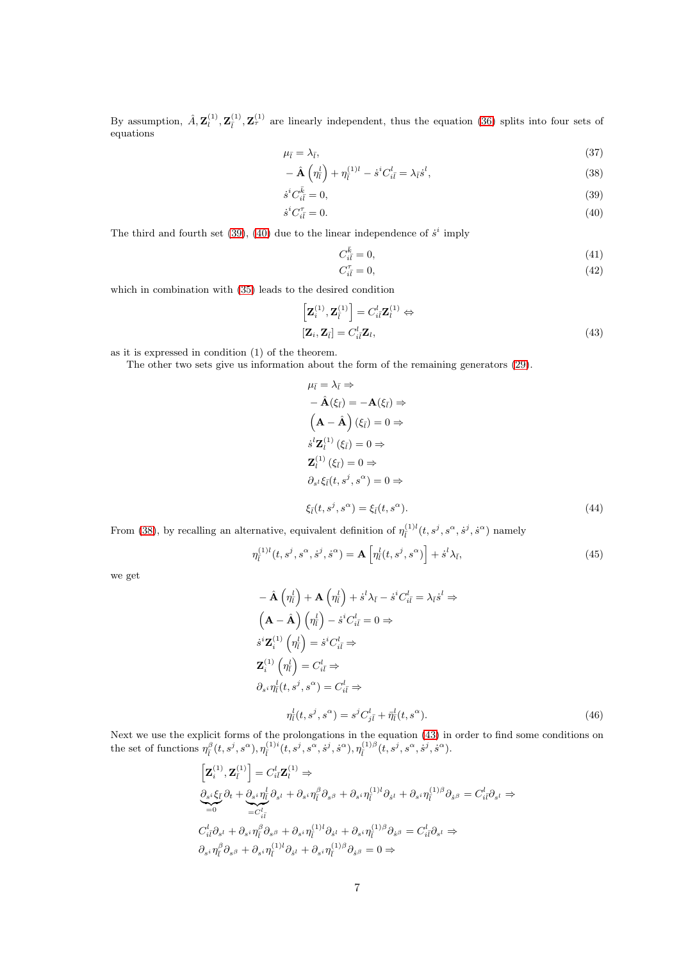By assumption,  $\hat{A}$ ,  $\mathbf{Z}_l^{(1)}$ ,  $\mathbf{Z}_l^{(1)}$ ,  $\mathbf{Z}_\tau^{(1)}$  are linearly independent, thus the equation [\(36\)](#page-5-5) splits into four sets of equations

$$
\mu_{\bar{l}} = \lambda_{\bar{l}},\tag{37}
$$

$$
-\hat{\mathbf{A}}\left(\eta_{\bar{l}}^{l}\right) + \eta_{\bar{l}}^{(1)l} - \dot{s}^{i}C_{i\bar{l}}^{l} = \lambda_{\bar{l}}\dot{s}^{l},\tag{38}
$$

$$
\dot{s}^i C_{i\bar{l}}^{\bar{k}} = 0,\tag{39}
$$

$$
\dot{s}^i C_{i\bar{l}}^{\tau} = 0. \tag{40}
$$

The third and fourth set  $(39)$ ,  $(40)$  due to the linear independence of  $\dot{s}^i$  imply

<span id="page-6-2"></span><span id="page-6-1"></span><span id="page-6-0"></span>
$$
C_{i\bar{i}}^{\bar{k}} = 0,\tag{41}
$$

<span id="page-6-4"></span><span id="page-6-3"></span>
$$
C_{i\bar{i}}^{\tau} = 0,\tag{42}
$$

which in combination with [\(35\)](#page-5-6) leads to the desired condition

$$
\left[\mathbf{Z}_{i}^{(1)}, \mathbf{Z}_{\bar{l}}^{(1)}\right] = C_{i\bar{i}}^{l} \mathbf{Z}_{l}^{(1)} \Leftrightarrow \n[\mathbf{Z}_{i}, \mathbf{Z}_{\bar{l}}] = C_{i\bar{i}}^{l} \mathbf{Z}_{l},
$$
\n(43)

as it is expressed in condition (1) of the theorem.

The other two sets give us information about the form of the remaining generators [\(29\)](#page-5-1).

$$
\mu_{\bar{l}} = \lambda_{\bar{l}} \Rightarrow \n- \hat{\mathbf{A}}(\xi_{\bar{l}}) = -\mathbf{A}(\xi_{\bar{l}}) \Rightarrow \n\left(\mathbf{A} - \hat{\mathbf{A}}\right)(\xi_{\bar{l}}) = 0 \Rightarrow \n\dot{s}^{l} \mathbf{Z}_{l}^{(1)}(\xi_{\bar{l}}) = 0 \Rightarrow \n\mathbf{Z}_{l}^{(1)}(\xi_{\bar{l}}) = 0 \Rightarrow \n\partial_{s} \iota \xi_{\bar{l}}(t, s^{j}, s^{\alpha}) = 0 \Rightarrow \n\xi_{\bar{l}}(t, s^{j}, s^{\alpha}) = \xi_{\bar{l}}(t, s^{\alpha}).
$$
\n(44)

From [\(38\)](#page-6-2), by recalling an alternative, equivalent definition of  $\eta_{\bar{l}}^{(1)l}(t, s^j, s^\alpha, \dot{s}^j, \dot{s}^\alpha)$  namely

$$
\eta_{\bar{l}}^{(1)l}(t,s^j,s^\alpha,\dot{s}^j,\dot{s}^\alpha) = \mathbf{A}\left[\eta_{\bar{l}}^l(t,s^j,s^\alpha)\right] + \dot{s}^l\lambda_{\bar{l}},\tag{45}
$$

we get

$$
- \hat{\mathbf{A}} \left( \eta_l^l \right) + \mathbf{A} \left( \eta_l^l \right) + \dot{s}^l \lambda_{\bar{l}} - \dot{s}^i C_{i\bar{l}}^l = \lambda_{\bar{l}} \dot{s}^l \Rightarrow
$$
  
\n
$$
\left( \mathbf{A} - \hat{\mathbf{A}} \right) \left( \eta_{\bar{l}}^l \right) - \dot{s}^i C_{i\bar{l}}^l = 0 \Rightarrow
$$
  
\n
$$
\dot{s}^i \mathbf{Z}_i^{(1)} \left( \eta_{\bar{l}}^l \right) = \dot{s}^i C_{i\bar{l}}^l \Rightarrow
$$
  
\n
$$
\mathbf{Z}_i^{(1)} \left( \eta_{\bar{l}}^l \right) = C_{i\bar{l}}^l \Rightarrow
$$
  
\n
$$
\partial_{s^i} \eta_{\bar{l}}^l(t, s^j, s^\alpha) = C_{i\bar{l}}^l \Rightarrow
$$
  
\n
$$
\eta_{\bar{l}}^l(t, s^j, s^\alpha) = \dot{s}^j C_{j\bar{l}}^l + \bar{\eta}_{\bar{l}}^l(t, s^\alpha).
$$
  
\n(46)

Next we use the explicit forms of the prolongations in the equation [\(43\)](#page-6-3) in order to find some conditions on the set of functions  $\eta_{\bar{l}}^{\beta}(t, s^j, s^{\alpha}), \eta_{\bar{l}}^{(1)i}(t, s^j, s^{\alpha}, \dot{s}^j, \dot{s}^{\alpha}), \eta_{\bar{l}}^{(1)\beta}(t, s^j, s^{\alpha}, \dot{s}^j, \dot{s}^{\alpha}).$ 

$$
\label{eq:Zi} \begin{split} &\left[\pmb{Z}^{(1)}_i, \pmb{Z}^{(1)}_{\bar{l}}\right] = C^l_{i\bar{l}} \pmb{Z}^{(1)}_{l} \Rightarrow \\ &\underbrace{\partial_{s^i} \xi_{\bar{l}}^{\bar{r}} \partial_t + \underbrace{\partial_{s^i} \eta_{\bar{l}}^{\bar{l}} \partial_{s^l} + \partial_{s^i} \eta_{\bar{l}}^{\beta} \partial_{s^{\beta}} + \partial_{s^i} \eta_{\bar{l}}^{(1)l} \partial_{s^l} + \partial_{s^i} \eta_{\bar{l}}^{(1)\beta} \partial_{\bar{s}^{\beta}} = C^l_{i\bar{l}} \partial_{s^l} \Rightarrow \\ &\phantom{=}-\underbrace{C^l_{i\bar{l}} } C^l_{i\bar{l}} \partial_{s^l} + \partial_{s^i} \eta_{\bar{l}}^{\beta} \partial_{s^{\beta}} + \partial_{s^i} \eta_{\bar{l}}^{(1)l} \partial_{\bar{s}^l} + \partial_{s^i} \eta_{\bar{l}}^{(1)\beta} \partial_{\bar{s}^{\beta}} = C^l_{i\bar{l}} \partial_{s^l} \Rightarrow \\ &\partial_{s^i} \eta_{\bar{l}}^{\beta} \partial_{s^{\beta}} + \partial_{s^i} \eta_{\bar{l}}^{(1)l} \partial_{\bar{s}^l} + \partial_{s^i} \eta_{\bar{l}}^{(1)\beta} \partial_{\bar{s}^{\beta}} = 0 \Rightarrow \end{split}
$$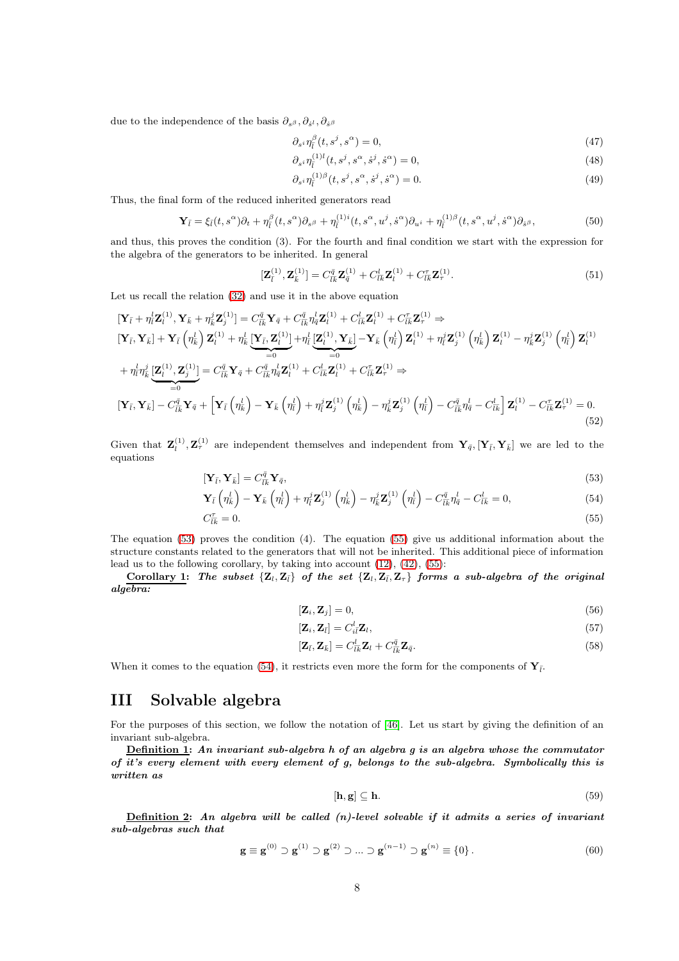due to the independence of the basis  $\partial_{s^\beta}, \partial_{s^l}, \partial_{s^\beta}$ 

$$
\partial_{s^i} \eta_{\bar{l}}^{\beta}(t, s^j, s^{\alpha}) = 0, \tag{47}
$$

$$
\partial_{s^i} \eta_{\bar{l}}^{(1)l}(t, s^j, s^\alpha, \dot{s}^j, \dot{s}^\alpha) = 0,\tag{48}
$$

$$
\partial_{s^i} \eta_{\bar{l}}^{(1)\beta}(t, s^j, s^\alpha, \dot{s}^j, \dot{s}^\alpha) = 0. \tag{49}
$$

Thus, the final form of the reduced inherited generators read

$$
\mathbf{Y}_{\bar{l}} = \xi_{\bar{l}}(t, s^{\alpha})\partial_t + \eta_{\bar{l}}^{\beta}(t, s^{\alpha})\partial_{s^{\beta}} + \eta_{\bar{l}}^{(1)i}(t, s^{\alpha}, u^j, \dot{s}^{\alpha})\partial_{u^i} + \eta_{\bar{l}}^{(1)\beta}(t, s^{\alpha}, u^j, \dot{s}^{\alpha})\partial_{s^{\beta}},\tag{50}
$$

and thus, this proves the condition (3). For the fourth and final condition we start with the expression for the algebra of the generators to be inherited. In general

$$
\left[\mathbf{Z}_{l}^{(1)},\mathbf{Z}_{k}^{(1)}\right] = C_{l\bar{k}}^{\bar{q}} \mathbf{Z}_{\bar{q}}^{(1)} + C_{l\bar{k}}^{l} \mathbf{Z}_{l}^{(1)} + C_{l\bar{k}}^{\tau} \mathbf{Z}_{\tau}^{(1)}.
$$
\n(51)

Let us recall the relation [\(32\)](#page-5-7) and use it in the above equation

$$
\begin{split}\n&\left[\mathbf{Y}_{\bar{l}} + \eta_{\bar{l}}^{l} \mathbf{Z}_{l}^{(1)}, \mathbf{Y}_{\bar{k}} + \eta_{\bar{k}}^{j} \mathbf{Z}_{j}^{(1)}\right] = C_{\bar{l}\bar{k}}^{\bar{q}} \mathbf{Y}_{\bar{q}} + C_{\bar{l}\bar{k}}^{\bar{q}} \eta_{\bar{q}}^{l} \mathbf{Z}_{l}^{(1)} + C_{\bar{l}\bar{k}}^{\bar{r}} \mathbf{Z}_{l}^{(1)} + C_{\bar{l}\bar{k}}^{\bar{r}} \mathbf{Z}_{r}^{(1)} \Rightarrow \\
&\left[\mathbf{Y}_{\bar{l}}, \mathbf{Y}_{\bar{k}}\right] + \mathbf{Y}_{\bar{l}}\left(\eta_{\bar{k}}^{l}\right) \mathbf{Z}_{l}^{(1)} + \eta_{\bar{k}}^{l} \underbrace{\left[\mathbf{Y}_{\bar{l}}, \mathbf{Z}_{l}^{(1)}\right] + \eta_{\bar{l}}^{l} \underbrace{\left[\mathbf{Z}_{l}^{(1)}, \mathbf{Y}_{\bar{k}}\right]}_{=0} - \mathbf{Y}_{\bar{k}}\left(\eta_{\bar{l}}^{l}\right) \mathbf{Z}_{l}^{(1)} + \eta_{\bar{l}}^{j} \mathbf{Z}_{j}^{(1)}\left(\eta_{\bar{k}}^{l}\right) \mathbf{Z}_{l}^{(1)} - \eta_{\bar{k}}^{j} \mathbf{Z}_{j}^{(1)}\left(\eta_{\bar{l}}^{l}\right) \mathbf{Z}_{l}^{(1)} \\
&+ \eta_{\bar{l}}^{l} \eta_{\bar{k}}^{j} \underbrace{\left[\mathbf{Z}_{l}^{(1)}, \mathbf{Z}_{j}^{(1)}\right]}_{=0} = C_{\bar{l}\bar{k}}^{\bar{q}} \mathbf{Y}_{\bar{q}} + C_{\bar{l}\bar{k}}^{\bar{q}} \eta_{\bar{q}}^{l} \mathbf{Z}_{l}^{(1)} + C_{\bar{l}\bar{k}}^{l} \mathbf{Z}_{l}^{(1)} + C_{\bar{l}\bar{k}}^{\bar{r}} \mathbf{Z}_{r}^{(1)} \Rightarrow \\
&\left[\mathbf{Y}_{\bar{l}}, \mathbf{Y}_{\bar{k}}\right] - C_{\bar{l}\bar{k}}^{\bar{q}} \mathbf{Y}_{\bar{q}} + \left[\mathbf{Y}_{\bar{l}}\left(\eta_{\bar{k}}^{l}\right) - \mathbf{Y}_{\bar{k}}\
$$

Given that  $\mathbf{Z}_l^{(1)}, \mathbf{Z}_\tau^{(1)}$  are independent themselves and independent from  $\mathbf{Y}_{\bar{q}}, [\mathbf{Y}_{\bar{l}}, \mathbf{Y}_{\bar{k}}]$  we are led to the equations

$$
\left[\mathbf{Y}_{\bar{l}}, \mathbf{Y}_{\bar{k}}\right] = C_{\bar{l}\bar{k}}^{\bar{q}} \mathbf{Y}_{\bar{q}},\tag{53}
$$

$$
\mathbf{Y}_{\bar{l}}\left(\eta_{\bar{k}}^{l}\right) - \mathbf{Y}_{\bar{k}}\left(\eta_{\bar{l}}^{l}\right) + \eta_{\bar{l}}^{j}\mathbf{Z}_{j}^{(1)}\left(\eta_{\bar{k}}^{l}\right) - \eta_{\bar{k}}^{j}\mathbf{Z}_{j}^{(1)}\left(\eta_{\bar{l}}^{l}\right) - C_{\bar{l}\bar{k}}^{\bar{q}}\eta_{\bar{q}}^{l} - C_{\bar{l}\bar{k}}^{l} = 0, \tag{54}
$$

$$
C_{lk}^{\tau} = 0. \tag{55}
$$

The equation [\(53\)](#page-7-0) proves the condition (4). The equation [\(55\)](#page-7-1) give us additional information about the structure constants related to the generators that will not be inherited. This additional piece of information lead us to the following corollary, by taking into account [\(12\)](#page-4-3), [\(42\)](#page-6-4), [\(55\)](#page-7-1):

 $\textbf{Corollary 1:}$  The subset  $\{Z_l, Z_{\bar{l}}\}$  of the set  $\{Z_l, Z_{\bar{l}}, Z_{\tau}\}$  forms a sub-algebra of the original algebra:

<span id="page-7-2"></span><span id="page-7-1"></span><span id="page-7-0"></span>
$$
[\mathbf{Z}_i, \mathbf{Z}_j] = 0,\tag{56}
$$

$$
\left[\mathbf{Z}_i, \mathbf{Z}_i\right] = C_{i\bar{i}}^l \mathbf{Z}_l,\tag{57}
$$

$$
\left[\mathbf{Z}_{\bar{l}},\mathbf{Z}_{\bar{k}}\right] = C_{l\bar{k}}^{\bar{l}}\mathbf{Z}_l + C_{l\bar{k}}^{\bar{q}}\mathbf{Z}_{\bar{q}}.\tag{58}
$$

When it comes to the equation [\(54\)](#page-7-2), it restricts even more the form for the components of  $\mathbf{Y}_{\bar{l}}$ .

# III Solvable algebra

For the purposes of this section, we follow the notation of [\[46\]](#page-20-22). Let us start by giving the definition of an invariant sub-algebra.

Definition 1: An invariant sub-algebra h of an algebra g is an algebra whose the commutator of it's every element with every element of g, belongs to the sub-algebra. Symbolically this is written as

$$
[\mathbf{h}, \mathbf{g}] \subseteq \mathbf{h}.\tag{59}
$$

Definition 2: An algebra will be called  $(n)$ -level solvable if it admits a series of invariant sub-algebras such that

$$
\mathbf{g} \equiv \mathbf{g}^{(0)} \supset \mathbf{g}^{(1)} \supset \mathbf{g}^{(2)} \supset \dots \supset \mathbf{g}^{(n-1)} \supset \mathbf{g}^{(n)} \equiv \{0\}.
$$
 (60)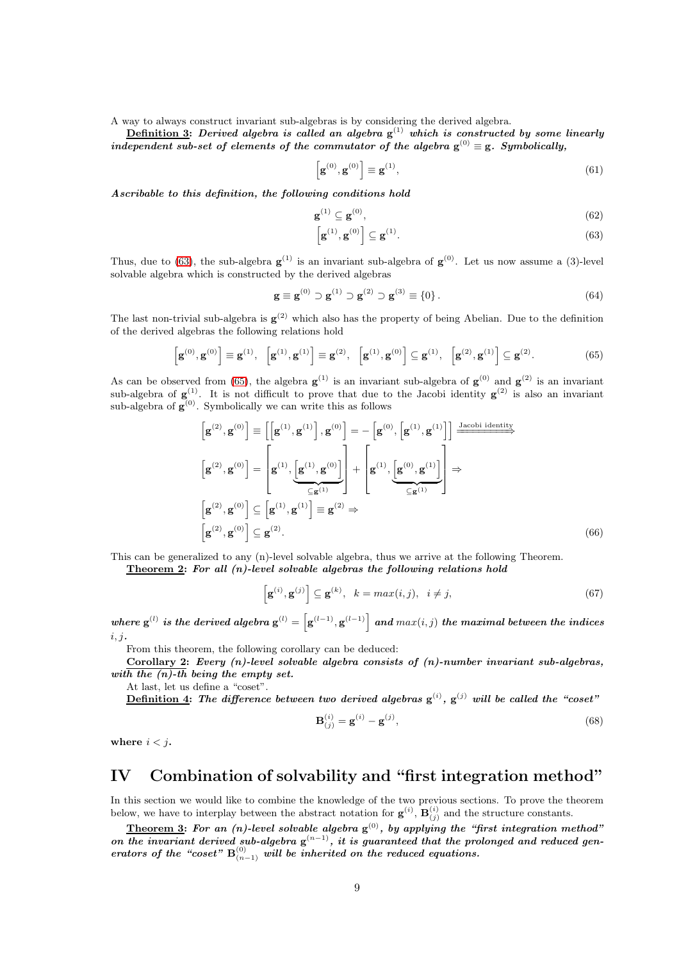A way to always construct invariant sub-algebras is by considering the derived algebra.

Definition 3: Derived algebra is called an algebra  $g^{(1)}$  which is constructed by some linearly independent sub-set of elements of the commutator of the algebra  $g^{(0)} \equiv g$ . Symbolically,

$$
\left[\mathbf{g}^{(0)},\mathbf{g}^{(0)}\right] \equiv \mathbf{g}^{(1)},\tag{61}
$$

Ascribable to this definition, the following conditions hold

$$
\mathbf{g}^{(1)} \subseteq \mathbf{g}^{(0)},\tag{62}
$$

<span id="page-8-1"></span><span id="page-8-0"></span>
$$
\left[\mathbf{g}^{(1)},\mathbf{g}^{(0)}\right] \subseteq \mathbf{g}^{(1)}.\tag{63}
$$

Thus, due to [\(63\)](#page-8-0), the sub-algebra  $g^{(1)}$  is an invariant sub-algebra of  $g^{(0)}$ . Let us now assume a (3)-level solvable algebra which is constructed by the derived algebras

$$
\mathbf{g} \equiv \mathbf{g}^{(0)} \supset \mathbf{g}^{(1)} \supset \mathbf{g}^{(2)} \supset \mathbf{g}^{(3)} \equiv \{0\} \,.
$$
 (64)

The last non-trivial sub-algebra is  $g^{(2)}$  which also has the property of being Abelian. Due to the definition of the derived algebras the following relations hold

$$
\left[\mathbf{g}^{(0)},\mathbf{g}^{(0)}\right] \equiv \mathbf{g}^{(1)}, \ \left[\mathbf{g}^{(1)},\mathbf{g}^{(1)}\right] \equiv \mathbf{g}^{(2)}, \ \left[\mathbf{g}^{(1)},\mathbf{g}^{(0)}\right] \subseteq \mathbf{g}^{(1)}, \ \left[\mathbf{g}^{(2)},\mathbf{g}^{(1)}\right] \subseteq \mathbf{g}^{(2)}.
$$
 (65)

As can be observed from [\(65\)](#page-8-1), the algebra  $g^{(1)}$  is an invariant sub-algebra of  $g^{(0)}$  and  $g^{(2)}$  is an invariant sub-algebra of  $g^{(1)}$ . It is not difficult to prove that due to the Jacobi identity  $g^{(2)}$  is also an invariant sub-algebra of  $g^{(0)}$ . Symbolically we can write this as follows

$$
\begin{aligned}\n\left[\mathbf{g}^{(2)},\mathbf{g}^{(0)}\right] &\equiv \left[\left[\mathbf{g}^{(1)},\mathbf{g}^{(1)}\right],\mathbf{g}^{(0)}\right] = -\left[\mathbf{g}^{(0)},\left[\mathbf{g}^{(1)},\mathbf{g}^{(1)}\right]\right] \xrightarrow{\text{Jacobi identity}} \\
\left[\mathbf{g}^{(2)},\mathbf{g}^{(0)}\right] &=\left[\mathbf{g}^{(1)},\left[\mathbf{g}^{(1)},\mathbf{g}^{(0)}\right]\right] + \left[\mathbf{g}^{(1)},\left[\mathbf{g}^{(0)},\mathbf{g}^{(1)}\right]\right] \xrightarrow{\rightarrow} \\
\left[\mathbf{g}^{(2)},\mathbf{g}^{(0)}\right] &\subseteq \left[\mathbf{g}^{(1)},\mathbf{g}^{(1)}\right] \equiv \mathbf{g}^{(2)} \xrightarrow{\rightarrow} \\
\left[\mathbf{g}^{(2)},\mathbf{g}^{(0)}\right] &\subseteq \mathbf{g}^{(2)}.\n\end{aligned}
$$
\n(66)

This can be generalized to any (n)-level solvable algebra, thus we arrive at the following Theorem.

Theorem 2: For all  $(n)$ -level solvable algebras the following relations hold

$$
\left[\mathbf{g}^{(i)}, \mathbf{g}^{(j)}\right] \subseteq \mathbf{g}^{(k)}, \ \ k = \max(i, j), \ \ i \neq j,
$$
\n
$$
(67)
$$

where  $\mathbf{g}^{(l)}$  is the derived algebra  $\mathbf{g}^{(l)}=\left[\mathbf{g}^{(l-1)},\mathbf{g}^{(l-1)}\right]$  and  $max(i,j)$  the maximal between the indices  $i, j.$ 

From this theorem, the following corollary can be deduced:

Corollary 2: Every (n)-level solvable algebra consists of (n)-number invariant sub-algebras, with the  $(n)$ -th being the empty set.

At last, let us define a "coset".

**Definition 4:** The difference between two derived algebras  $g^{(i)}$ ,  $g^{(j)}$  will be called the "coset"

<span id="page-8-2"></span>
$$
\mathbf{B}_{(j)}^{(i)} = \mathbf{g}^{(i)} - \mathbf{g}^{(j)},\tag{68}
$$

where  $i < j$ .

# IV Combination of solvability and "first integration method"

In this section we would like to combine the knowledge of the two previous sections. To prove the theorem below, we have to interplay between the abstract notation for  $\mathbf{g}^{(i)}$ ,  $\mathbf{B}_{(j)}^{(i)}$  and the structure constants.

Theorem 3: For an (n)-level solvable algebra  $g^{(0)}$ , by applying the "first integration method" on the invariant derived sub-algebra  $g^{(n-1)}$ , it is guaranteed that the prolonged and reduced generators of the "coset"  $B_{(n-1)}^{(0)}$  will be inherited on the reduced equations.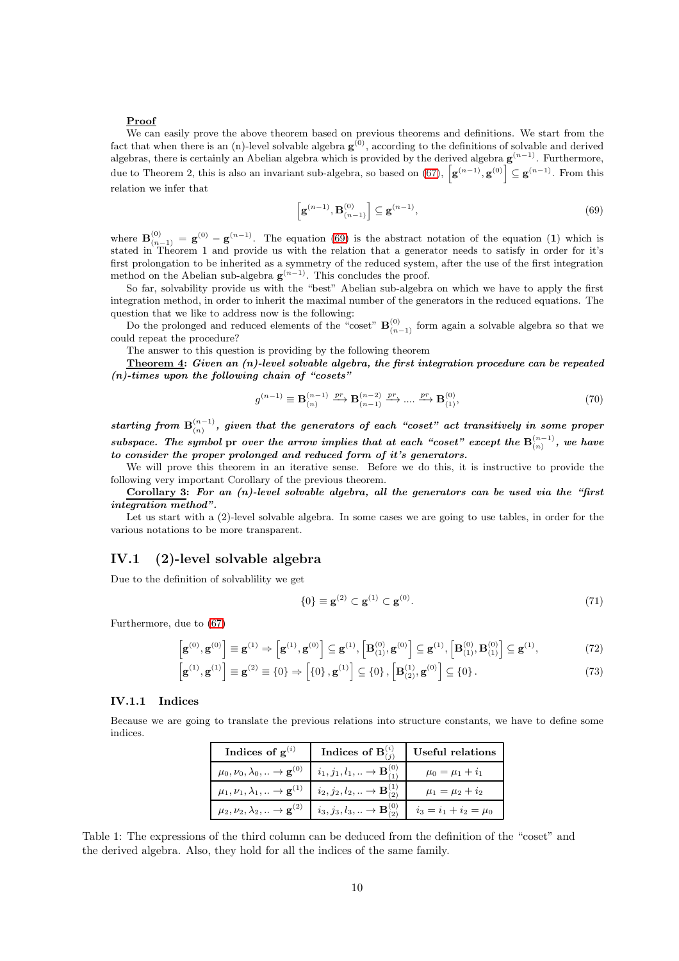#### Proof

We can easily prove the above theorem based on previous theorems and definitions. We start from the fact that when there is an (n)-level solvable algebra  $\mathbf{g}^{(0)}$ , according to the definitions of solvable and derived algebras, there is certainly an Abelian algebra which is provided by the derived algebra  $\mathbf{g}^{(n-1)}$ . Furthermore, due to Theorem 2, this is also an invariant sub-algebra, so based on [\(67\)](#page-8-2),  $\left[\mathbf{g}^{(n-1)},\mathbf{g}^{(0)}\right] \subseteq \mathbf{g}^{(n-1)}$ . From this relation we infer that

<span id="page-9-0"></span>
$$
\left[\mathbf{g}^{(n-1)}, \mathbf{B}_{(n-1)}^{(0)}\right] \subseteq \mathbf{g}^{(n-1)},\tag{69}
$$

where  $\mathbf{B}_{(n-1)}^{(0)} = \mathbf{g}^{(0)} - \mathbf{g}^{(n-1)}$ . The equation [\(69\)](#page-9-0) is the abstract notation of the equation (1) which is stated in Theorem 1 and provide us with the relation that a generator needs to satisfy in order for it's first prolongation to be inherited as a symmetry of the reduced system, after the use of the first integration method on the Abelian sub-algebra  $\mathbf{g}^{(n-1)}$ . This concludes the proof.

So far, solvability provide us with the "best" Abelian sub-algebra on which we have to apply the first integration method, in order to inherit the maximal number of the generators in the reduced equations. The question that we like to address now is the following:

Do the prolonged and reduced elements of the "coset"  $\mathbf{B}_{(n-1)}^{(0)}$  form again a solvable algebra so that we could repeat the procedure?

The answer to this question is providing by the following theorem

Theorem 4: Given an (n)-level solvable algebra, the first integration procedure can be repeated (n)-times upon the following chain of "cosets"

$$
g^{(n-1)} \equiv \mathbf{B}_{(n)}^{(n-1)} \xrightarrow{pr} \mathbf{B}_{(n-1)}^{(n-2)} \xrightarrow{pr} \dots \xrightarrow{pr} \mathbf{B}_{(1)}^{(0)},
$$
(70)

starting from  $\mathbf{B}_{(n)}^{(n-1)}$ , given that the generators of each "coset" act transitively in some proper subspace. The symbol pr over the arrow implies that at each "coset" except the  $B_{(n)}^{(n-1)}$ , we have to consider the proper prolonged and reduced form of it's generators.

We will prove this theorem in an iterative sense. Before we do this, it is instructive to provide the following very important Corollary of the previous theorem.

Corollary 3: For an  $(n)$ -level solvable algebra, all the generators can be used via the "first integration method".

Let us start with a  $(2)$ -level solvable algebra. In some cases we are going to use tables, in order for the various notations to be more transparent.

### IV.1 (2)-level solvable algebra

Due to the definition of solvablility we get

<span id="page-9-2"></span><span id="page-9-1"></span>
$$
\{0\} \equiv \mathbf{g}^{(2)} \subset \mathbf{g}^{(1)} \subset \mathbf{g}^{(0)}.
$$
 (71)

Furthermore, due to [\(67\)](#page-8-2)

$$
\left[\mathbf{g}^{(0)},\mathbf{g}^{(0)}\right]\equiv\mathbf{g}^{(1)}\Rightarrow\left[\mathbf{g}^{(1)},\mathbf{g}^{(0)}\right]\subseteq\mathbf{g}^{(1)},\left[\mathbf{B}^{(0)}_{(1)},\mathbf{g}^{(0)}\right]\subseteq\mathbf{g}^{(1)},\left[\mathbf{B}^{(0)}_{(1)},\mathbf{B}^{(0)}_{(1)}\right]\subseteq\mathbf{g}^{(1)},\tag{72}
$$

$$
\left[\mathbf{g}^{(1)},\mathbf{g}^{(1)}\right] \equiv \mathbf{g}^{(2)} \equiv \{0\} \Rightarrow \left[\{0\},\mathbf{g}^{(1)}\right] \subseteq \{0\}, \left[\mathbf{B}_{(2)}^{(1)},\mathbf{g}^{(0)}\right] \subseteq \{0\}.
$$
 (73)

#### IV.1.1 Indices

Because we are going to translate the previous relations into structure constants, we have to define some indices.

| Indices of $g^{(i)}$                                           | Indices of $B_{(i)}^{(i)}$                           | <b>Useful relations</b>   |
|----------------------------------------------------------------|------------------------------------------------------|---------------------------|
| $\mu_0, \nu_0, \lambda_0, \ldots \rightarrow \mathbf{g}^{(0)}$ | $i_1, j_1, l_1,  \rightarrow \mathbf{B}_{(1)}^{(0)}$ | $\mu_0 = \mu_1 + i_1$     |
| $\mu_1, \nu_1, \lambda_1, \ldots \rightarrow \mathbf{g}^{(1)}$ | $i_2, j_2, l_2,  \rightarrow \mathbf{B}_{(2)}^{(1)}$ | $\mu_1 = \mu_2 + i_2$     |
| $\mu_2, \nu_2, \lambda_2, \ldots \rightarrow \mathbf{g}^{(2)}$ | $i_3, j_3, l_3,  \rightarrow \mathbf{B}_{(2)}^{(0)}$ | $i_3 = i_1 + i_2 = \mu_0$ |

Table 1: The expressions of the third column can be deduced from the definition of the "coset" and the derived algebra. Also, they hold for all the indices of the same family.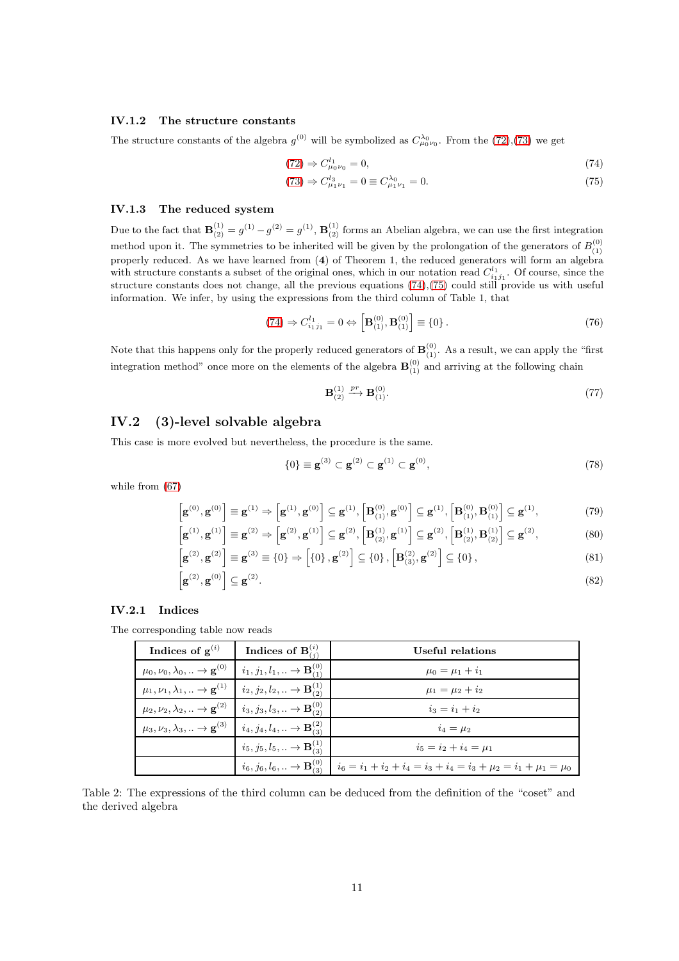#### IV.1.2 The structure constants

The structure constants of the algebra  $g^{(0)}$  will be symbolized as  $C_{\mu_0\nu_0}^{\lambda_0}$ . From the [\(72\)](#page-9-1),[\(73\)](#page-9-2) we get

<span id="page-10-1"></span><span id="page-10-0"></span>
$$
(72) \Rightarrow C_{\mu_0 \nu_0}^{l_1} = 0,\tag{74}
$$

$$
(73) \Rightarrow C_{\mu_1 \nu_1}^{l_3} = 0 \equiv C_{\mu_1 \nu_1}^{\lambda_0} = 0. \tag{75}
$$

#### IV.1.3 The reduced system

Due to the fact that  $\mathbf{B}_{(2)}^{(1)} = g^{(1)} - g^{(2)} = g^{(1)}$ ,  $\mathbf{B}_{(2)}^{(1)}$  forms an Abelian algebra, we can use the first integration method upon it. The symmetries to be inherited will be given by the prolongation of the generators of  $B_{(1)}^{(0)}$ properly reduced. As we have learned from (4) of Theorem 1, the reduced generators will form an algebra with structure constants a subset of the original ones, which in our notation read  $C_{i_1j_1}^{l_1}$ . Of course, since the structure constants does not change, all the previous equations  $(74)$ , $(75)$  could still provide us with useful information. We infer, by using the expressions from the third column of Table 1, that

$$
(74) \Rightarrow C_{i_1 j_1}^{l_1} = 0 \Leftrightarrow \left[ \mathbf{B}_{(1)}^{(0)}, \mathbf{B}_{(1)}^{(0)} \right] \equiv \{0\} \,.
$$

Note that this happens only for the properly reduced generators of  $\mathbf{B}_{(1)}^{(0)}$ . As a result, we can apply the "first integration method" once more on the elements of the algebra  $\mathbf{B}_{(1)}^{(0)}$  and arriving at the following chain

<span id="page-10-5"></span><span id="page-10-4"></span><span id="page-10-3"></span><span id="page-10-2"></span>
$$
\mathbf{B}_{(2)}^{(1)} \xrightarrow{pr} \mathbf{B}_{(1)}^{(0)}.\tag{77}
$$

### IV.2 (3)-level solvable algebra

This case is more evolved but nevertheless, the procedure is the same.

$$
\{0\} \equiv \mathbf{g}^{(3)} \subset \mathbf{g}^{(2)} \subset \mathbf{g}^{(1)} \subset \mathbf{g}^{(0)},\tag{78}
$$

while from [\(67\)](#page-8-2)

$$
\left[\mathbf{g}^{(0)},\mathbf{g}^{(0)}\right] \equiv \mathbf{g}^{(1)} \Rightarrow \left[\mathbf{g}^{(1)},\mathbf{g}^{(0)}\right] \subseteq \mathbf{g}^{(1)}, \left[\mathbf{B}_{(1)}^{(0)},\mathbf{g}^{(0)}\right] \subseteq \mathbf{g}^{(1)}, \left[\mathbf{B}_{(1)}^{(0)},\mathbf{B}_{(1)}^{(0)}\right] \subseteq \mathbf{g}^{(1)},\tag{79}
$$

$$
\begin{bmatrix} \mathbf{g}^{(1)}, \mathbf{g}^{(1)} \end{bmatrix} \equiv \mathbf{g}^{(2)} \Rightarrow \begin{bmatrix} \mathbf{g}^{(2)}, \mathbf{g}^{(1)} \end{bmatrix} \subseteq \mathbf{g}^{(2)}, \begin{bmatrix} \mathbf{B}_{(2)}^{(1)}, \mathbf{g}^{(1)} \end{bmatrix} \subseteq \mathbf{g}^{(2)}, \begin{bmatrix} \mathbf{B}_{(2)}^{(1)}, \mathbf{B}_{(2)}^{(1)} \end{bmatrix} \subseteq \mathbf{g}^{(2)},
$$
\n
$$
\begin{bmatrix} \mathbf{g}^{(2)} \mathbf{g}^{(2)} \end{bmatrix} = \mathbf{g}^{(3)} = f(1) \Rightarrow \begin{bmatrix} f(1) & g(2) \end{bmatrix} \subseteq f(1) \begin{bmatrix} \mathbf{g}^{(2)} \mathbf{g}^{(2)} \end{bmatrix} \subseteq f(1)
$$
\n
$$
(81)
$$

$$
\begin{bmatrix} \mathbf{g}^{(2)}, \mathbf{g}^{(2)} \end{bmatrix} \equiv \mathbf{g}^{(3)} \equiv \{0\} \Rightarrow \left[ \{0\}, \mathbf{g}^{(2)} \right] \subseteq \{0\}, \left[ \mathbf{B}_{(3)}^{(2)}, \mathbf{g}^{(2)} \right] \subseteq \{0\},
$$
\n
$$
\begin{bmatrix} \mathbf{g}^{(2)} & \mathbf{g}^{(0)} \end{bmatrix} \subset \mathbf{g}^{(2)} \tag{81}
$$

$$
\left[\mathbf{g}^{(2)},\mathbf{g}^{(0)}\right] \subseteq \mathbf{g}^{(2)}.\tag{82}
$$

#### IV.2.1 Indices

The corresponding table now reads

| Indices of $g^{(i)}$                                     | Indices of $B_{(i)}^{(i)}$                           | Useful relations                                                                                                                   |
|----------------------------------------------------------|------------------------------------------------------|------------------------------------------------------------------------------------------------------------------------------------|
| $\mu_0, \nu_0, \lambda_0,  \rightarrow \mathbf{g}^{(0)}$ | $i_1, j_1, l_1,  \rightarrow \mathbf{B}_{(1)}^{(0)}$ | $\mu_0 = \mu_1 + i_1$                                                                                                              |
| $\mu_1, \nu_1, \lambda_1,  \rightarrow \mathbf{g}^{(1)}$ | $i_2, j_2, l_2,  \rightarrow \mathbf{B}_{(2)}^{(1)}$ | $\mu_1 = \mu_2 + i_2$                                                                                                              |
| $\mu_2, \nu_2, \lambda_2,  \rightarrow \mathbf{g}^{(2)}$ | $i_3, j_3, l_3,  \rightarrow \mathbf{B}_{(2)}^{(0)}$ | $i_3 = i_1 + i_2$                                                                                                                  |
| $\mu_3, \nu_3, \lambda_3,  \rightarrow \mathbf{g}^{(3)}$ | $i_4, j_4, l_4,  \rightarrow \mathbf{B}_{(3)}^{(2)}$ | $i_4=\mu_2$                                                                                                                        |
|                                                          | $i_5, j_5, l_5,  \rightarrow \mathbf{B}_{(3)}^{(1)}$ | $i_5 = i_2 + i_4 = \mu_1$                                                                                                          |
|                                                          |                                                      | $i_6, j_6, l_6, \ldots \rightarrow \mathbf{B}_{(3)}^{(0)}$ $i_6 = i_1 + i_2 + i_4 = i_3 + i_4 = i_3 + \mu_2 = i_1 + \mu_1 = \mu_0$ |

Table 2: The expressions of the third column can be deduced from the definition of the "coset" and the derived algebra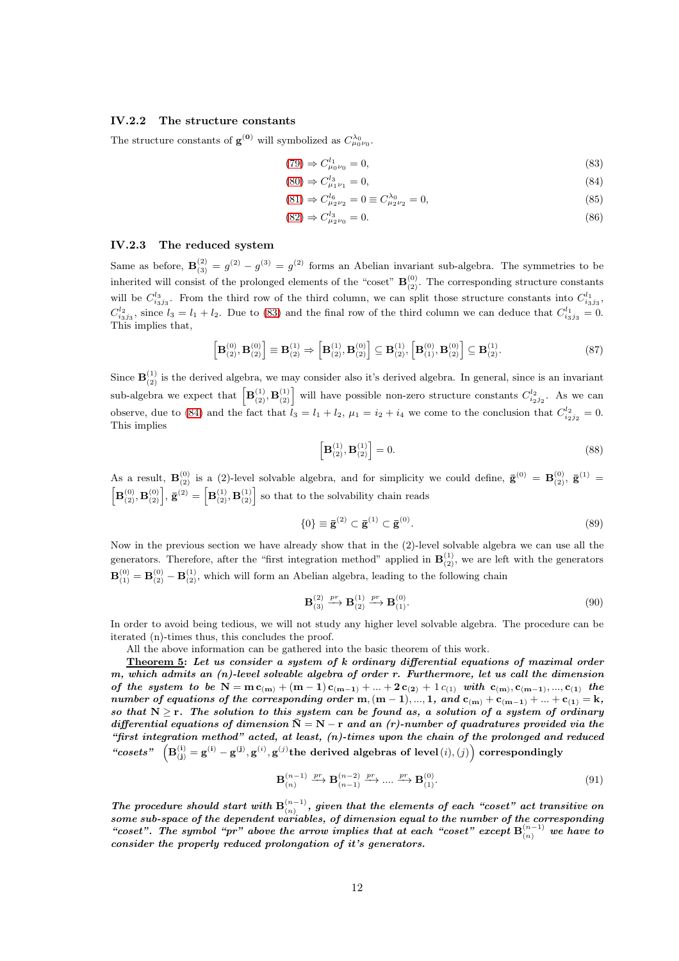#### IV.2.2 The structure constants

The structure constants of  $\mathbf{g}^{(0)}$  will symbolized as  $C_{\mu_0\nu_0}^{\lambda_0}$ .

<span id="page-11-1"></span><span id="page-11-0"></span>
$$
(79) \Rightarrow C_{\mu_0 \nu_0}^{l_1} = 0,\tag{83}
$$

$$
(80) \Rightarrow C_{\mu_1 \nu_1}^{l_3} = 0,\tag{84}
$$

$$
(81) \Rightarrow C_{\mu_2\nu_2}^{l_6} = 0 \equiv C_{\mu_2\nu_2}^{\lambda_0} = 0,
$$
\n(85)

$$
(82) \Rightarrow C_{\mu_2 \nu_0}^{l_3} = 0. \tag{86}
$$

#### IV.2.3 The reduced system

Same as before,  $\mathbf{B}_{(3)}^{(2)} = g^{(2)} - g^{(3)} = g^{(2)}$  forms an Abelian invariant sub-algebra. The symmetries to be inherited will consist of the prolonged elements of the "coset"  $\mathbf{B}_{(2)}^{(0)}$ . The corresponding structure constants will be  $C_{i_3j_3}^{l_3}$ . From the third row of the third column, we can split those structure constants into  $C_{i_3j_3}^{l_1}$ ,  $C_{i_3j_3}^{l_2}$ , since  $l_3 = l_1 + l_2$ . Due to [\(83\)](#page-11-0) and the final row of the third column we can deduce that  $C_{i_3j_3}^{l_1} = 0$ . This implies that,

$$
\left[\mathbf{B}_{(2)}^{(0)},\mathbf{B}_{(2)}^{(0)}\right]\equiv\mathbf{B}_{(2)}^{(1)} \Rightarrow\left[\mathbf{B}_{(2)}^{(1)},\mathbf{B}_{(2)}^{(0)}\right]\subseteq\mathbf{B}_{(2)}^{(1)},\left[\mathbf{B}_{(1)}^{(0)},\mathbf{B}_{(2)}^{(0)}\right]\subseteq\mathbf{B}_{(2)}^{(1)}.\tag{87}
$$

Since  $\mathbf{B}_{(2)}^{(1)}$  is the derived algebra, we may consider also it's derived algebra. In general, since is an invariant sub-algebra we expect that  $\left[\mathbf{B}_{(2)}^{(1)},\mathbf{B}_{(2)}^{(1)}\right]$  will have possible non-zero structure constants  $C_{i_2j_2}^{l_2}$ . As we can observe, due to [\(84\)](#page-11-1) and the fact that  $l_3 = l_1 + l_2$ ,  $\mu_1 = i_2 + i_4$  we come to the conclusion that  $C_{i_2j_2}^{l_2} = 0$ . This implies

$$
\left[\mathbf{B}_{(2)}^{(1)}, \mathbf{B}_{(2)}^{(1)}\right] = 0.\t(88)
$$

As a result,  $\mathbf{B}_{(2)}^{(0)}$  is a (2)-level solvable algebra, and for simplicity we could define,  $\bar{\mathbf{g}}^{(0)} = \mathbf{B}_{(2)}^{(0)}$ ,  $\bar{\mathbf{g}}^{(1)} =$  $\left[\mathbf{B}_{(2)}^{(0)},\mathbf{B}_{(2)}^{(0)}\right],\bar{\mathbf{g}}^{(2)}=\left[\mathbf{B}_{(2)}^{(1)},\mathbf{B}_{(2)}^{(1)}\right]$  so that to the solvability chain reads

$$
\{0\} \equiv \mathbf{\bar{g}}^{(2)} \subset \mathbf{\bar{g}}^{(1)} \subset \mathbf{\bar{g}}^{(0)}.
$$
\n
$$
(89)
$$

Now in the previous section we have already show that in the (2)-level solvable algebra we can use all the generators. Therefore, after the "first integration method" applied in  $\mathbf{B}_{(2)}^{(1)}$ , we are left with the generators  $\mathbf{B}_{(1)}^{(0)} = \mathbf{B}_{(2)}^{(0)} - \mathbf{B}_{(2)}^{(1)}$ , which will form an Abelian algebra, leading to the following chain

$$
\mathbf{B}_{(3)}^{(2)} \xrightarrow{pr} \mathbf{B}_{(2)}^{(1)} \xrightarrow{pr} \mathbf{B}_{(1)}^{(0)}.
$$
\n
$$
(90)
$$

In order to avoid being tedious, we will not study any higher level solvable algebra. The procedure can be iterated (n)-times thus, this concludes the proof.

All the above information can be gathered into the basic theorem of this work.

Theorem 5: Let us consider a system of k ordinary differential equations of maximal order m, which admits an (n)-level solvable algebra of order r. Furthermore, let us call the dimension of the system to be  $N = mc_{(m)} + (m-1)c_{(m-1)} + ... + 2c_{(2)} + 1c_{(1)}$  with  $c_{(m)}, c_{(m-1)}, ..., c_{(1)}$  the number of equations of the corresponding order m,  $(m - 1)$ , ..., 1, and  $c_{(m)} + c_{(m-1)} + ... + c_{(1)} = k$ , so that  $N \geq r$ . The solution to this system can be found as, a solution of a system of ordinary differential equations of dimension  $\bar{N} = N - r$  and an (r)-number of quadratures provided via the "first integration method" acted, at least, (n)-times upon the chain of the prolonged and reduced "cosets"  $(B_{(j)}^{(i)} = g^{(i)} - g^{(j)}, g^{(i)}, g^{(j)}$ the derived algebras of level $(i), (j)$  correspondingly

$$
\mathbf{B}_{(n)}^{(n-1)} \xrightarrow{pr} \mathbf{B}_{(n-1)}^{(n-2)} \xrightarrow{pr} \dots \xrightarrow{pr} \mathbf{B}_{(1)}^{(0)}.
$$
\n(91)

The procedure should start with  $B_{(n)}^{(n-1)}$ , given that the elements of each "coset" act transitive on some sub-space of the dependent variables, of dimension equal to the number of the corresponding "coset". The symbol "pr" above the arrow implies that at each "coset" except  $B_{(n)}^{(n-1)}$  we have to consider the properly reduced prolongation of it's generators.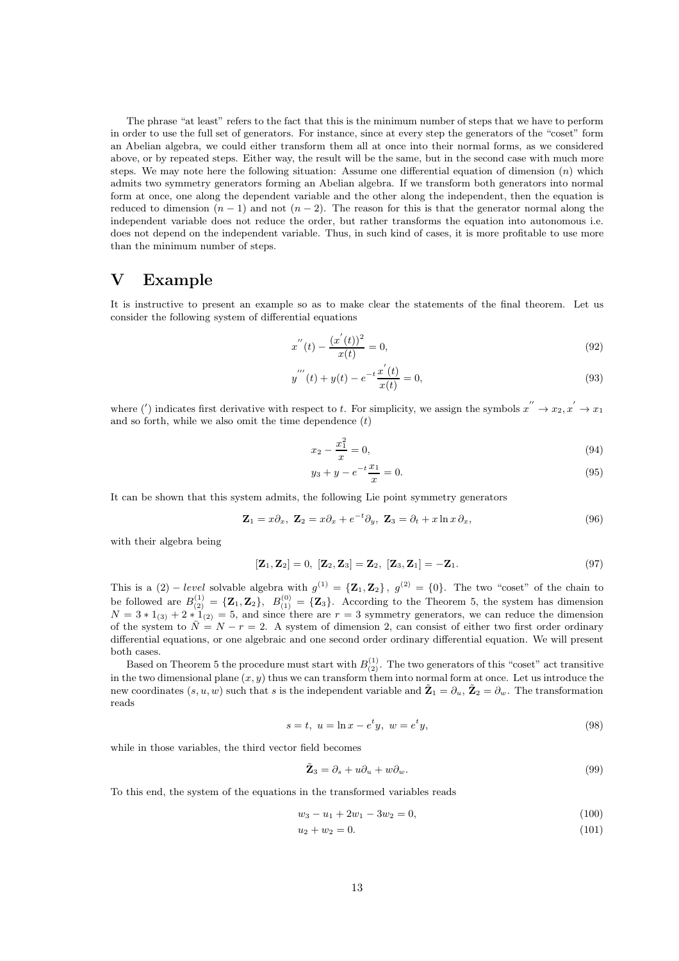The phrase "at least" refers to the fact that this is the minimum number of steps that we have to perform in order to use the full set of generators. For instance, since at every step the generators of the "coset" form an Abelian algebra, we could either transform them all at once into their normal forms, as we considered above, or by repeated steps. Either way, the result will be the same, but in the second case with much more steps. We may note here the following situation: Assume one differential equation of dimension  $(n)$  which admits two symmetry generators forming an Abelian algebra. If we transform both generators into normal form at once, one along the dependent variable and the other along the independent, then the equation is reduced to dimension  $(n - 1)$  and not  $(n - 2)$ . The reason for this is that the generator normal along the independent variable does not reduce the order, but rather transforms the equation into autonomous i.e. does not depend on the independent variable. Thus, in such kind of cases, it is more profitable to use more than the minimum number of steps.

## V Example

It is instructive to present an example so as to make clear the statements of the final theorem. Let us consider the following system of differential equations

$$
x''(t) - \frac{(x'(t))^2}{x(t)} = 0,
$$
\n(92)

$$
y'''(t) + y(t) - e^{-t} \frac{x'(t)}{x(t)} = 0,
$$
\n(93)

where (') indicates first derivative with respect to t. For simplicity, we assign the symbols  $x'' \to x_2, x' \to x_1$ and so forth, while we also omit the time dependence  $(t)$ 

$$
x_2 - \frac{x_1^2}{x} = 0,\t\t(94)
$$

$$
y_3 + y - e^{-t} \frac{x_1}{x} = 0. \tag{95}
$$

It can be shown that this system admits, the following Lie point symmetry generators

$$
\mathbf{Z}_1 = x\partial_x, \ \mathbf{Z}_2 = x\partial_x + e^{-t}\partial_y, \ \mathbf{Z}_3 = \partial_t + x\ln x\partial_x,\tag{96}
$$

with their algebra being

$$
[\mathbf{Z}_1, \mathbf{Z}_2] = 0, [\mathbf{Z}_2, \mathbf{Z}_3] = \mathbf{Z}_2, [\mathbf{Z}_3, \mathbf{Z}_1] = -\mathbf{Z}_1.
$$
 (97)

This is a  $(2)$  – level solvable algebra with  $g^{(1)} = {\mathbf{Z}_1, \mathbf{Z}_2}$ ,  $g^{(2)} = \{0\}$ . The two "coset" of the chain to be followed are  $B_{(2)}^{(1)} = {\mathbf{Z}_1, \mathbf{Z}_2}$ ,  $B_{(1)}^{(0)} = {\mathbf{Z}_3}$ . According to the Theorem 5, the system has dimension  $N = 3 * 1_{(3)} + 2 * 1_{(2)} = 5$ , and since there are  $r = 3$  symmetry generators, we can reduce the dimension of the system to  $\overline{N} = N - r = 2$ . A system of dimension 2, can consist of either two first order ordinary differential equations, or one algebraic and one second order ordinary differential equation. We will present both cases.

Based on Theorem 5 the procedure must start with  $B_{(2)}^{(1)}$ . The two generators of this "coset" act transitive in the two dimensional plane  $(x, y)$  thus we can transform them into normal form at once. Let us introduce the new coordinates  $(s, u, w)$  such that s is the independent variable and  $\tilde{\mathbf{Z}}_1 = \partial_u, \tilde{\mathbf{Z}}_2 = \partial_w$ . The transformation reads

$$
s = t, \ u = \ln x - e^t y, \ w = e^t y,
$$
\n(98)

while in those variables, the third vector field becomes

<span id="page-12-0"></span>
$$
\tilde{\mathbf{Z}}_3 = \partial_s + u \partial_u + w \partial_w. \tag{99}
$$

To this end, the system of the equations in the transformed variables reads

$$
w_3 - u_1 + 2w_1 - 3w_2 = 0,\t\t(100)
$$

$$
u_2 + w_2 = 0.\t\t(101)
$$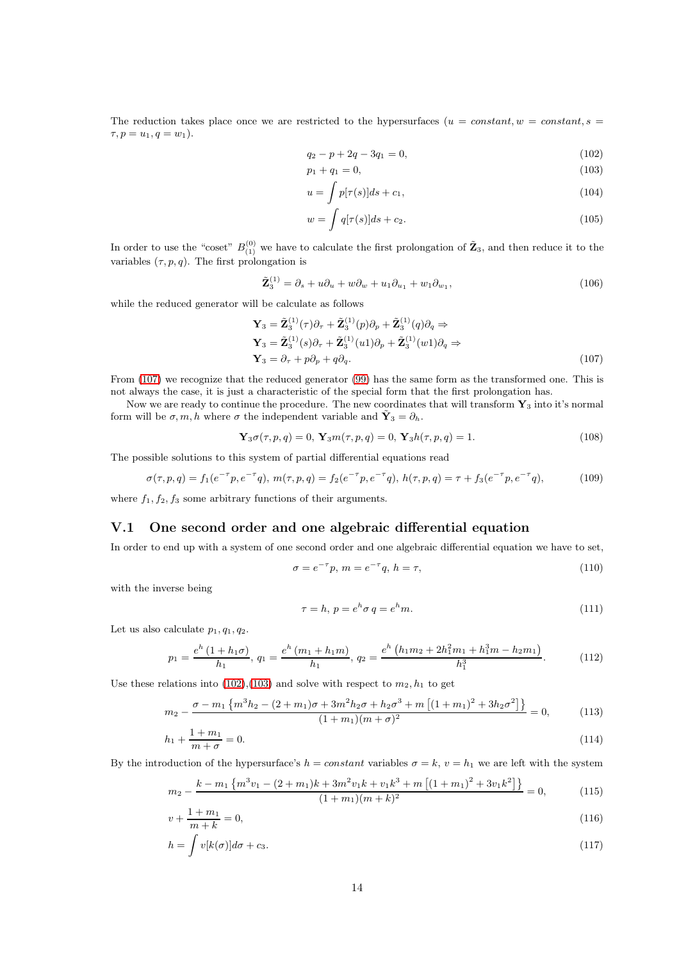The reduction takes place once we are restricted to the hypersurfaces ( $u = constant, w = constant, s =$  $\tau, p = u_1, q = w_1$ ).

<span id="page-13-1"></span>
$$
q_2 - p + 2q - 3q_1 = 0,\t\t(102)
$$

<span id="page-13-6"></span><span id="page-13-2"></span>
$$
p_1 + q_1 = 0,\t\t(103)
$$

$$
u = \int p[\tau(s)]ds + c_1,\tag{104}
$$

<span id="page-13-7"></span><span id="page-13-0"></span>
$$
w = \int q[\tau(s)]ds + c_2.
$$
\n(105)

In order to use the "coset"  $B_{(1)}^{(0)}$  we have to calculate the first prolongation of  $\mathbf{Z}_3$ , and then reduce it to the variables  $(\tau, p, q)$ . The first prolongation is

$$
\tilde{\mathbf{Z}}_3^{(1)} = \partial_s + u\partial_u + w\partial_w + u_1\partial_{u_1} + w_1\partial_{w_1},\tag{106}
$$

while the reduced generator will be calculate as follows

$$
\mathbf{Y}_3 = \tilde{\mathbf{Z}}_3^{(1)}(\tau)\partial_\tau + \tilde{\mathbf{Z}}_3^{(1)}(p)\partial_p + \tilde{\mathbf{Z}}_3^{(1)}(q)\partial_q \Rightarrow \n\mathbf{Y}_3 = \tilde{\mathbf{Z}}_3^{(1)}(s)\partial_\tau + \tilde{\mathbf{Z}}_3^{(1)}(u1)\partial_p + \tilde{\mathbf{Z}}_3^{(1)}(w1)\partial_q \Rightarrow \n\mathbf{Y}_3 = \partial_\tau + p\partial_p + q\partial_q.
$$
\n(107)

From [\(107\)](#page-13-0) we recognize that the reduced generator [\(99\)](#page-12-0) has the same form as the transformed one. This is not always the case, it is just a characteristic of the special form that the first prolongation has.

Now we are ready to continue the procedure. The new coordinates that will transform  $\mathbf{Y}_3$  into it's normal form will be  $\sigma, m, h$  where  $\sigma$  the independent variable and  $\tilde{\mathbf{Y}}_3 = \partial_h$ .

$$
\mathbf{Y}_3 \sigma(\tau, p, q) = 0, \ \mathbf{Y}_3 m(\tau, p, q) = 0, \ \mathbf{Y}_3 h(\tau, p, q) = 1. \tag{108}
$$

The possible solutions to this system of partial differential equations read

$$
\sigma(\tau, p, q) = f_1(e^{-\tau}p, e^{-\tau}q), \, m(\tau, p, q) = f_2(e^{-\tau}p, e^{-\tau}q), \, h(\tau, p, q) = \tau + f_3(e^{-\tau}p, e^{-\tau}q), \tag{109}
$$

where  $f_1, f_2, f_3$  some arbitrary functions of their arguments.

#### V.1 One second order and one algebraic differential equation

In order to end up with a system of one second order and one algebraic differential equation we have to set,

$$
\sigma = e^{-\tau}p, \, m = e^{-\tau}q, \, h = \tau,
$$
\n(110)

with the inverse being

<span id="page-13-5"></span><span id="page-13-4"></span><span id="page-13-3"></span>
$$
\tau = h, \, p = e^h \sigma \, q = e^h m. \tag{111}
$$

Let us also calculate  $p_1, q_1, q_2$ .

$$
p_1 = \frac{e^h (1 + h_1 \sigma)}{h_1}, \ q_1 = \frac{e^h (m_1 + h_1 m)}{h_1}, \ q_2 = \frac{e^h (h_1 m_2 + 2h_1^2 m_1 + h_1^3 m - h_2 m_1)}{h_1^3}.
$$
 (112)

Use these relations into  $(102),(103)$  $(102),(103)$  and solve with respect to  $m_2, h_1$  to get

$$
m_2 - \frac{\sigma - m_1 \left\{ m^3 h_2 - (2 + m_1)\sigma + 3m^2 h_2 \sigma + h_2 \sigma^3 + m \left[ (1 + m_1)^2 + 3h_2 \sigma^2 \right] \right\}}{(1 + m_1)(m + \sigma)^2} = 0,
$$
 (113)

$$
h_1 + \frac{1 + m_1}{m + \sigma} = 0. \tag{114}
$$

By the introduction of the hypersurface's  $h = constant$  variables  $\sigma = k$ ,  $v = h_1$  we are left with the system

$$
m_2 - \frac{k - m_1 \left\{ m^3 v_1 - (2 + m_1)k + 3m^2 v_1 k + v_1 k^3 + m \left[ (1 + m_1)^2 + 3v_1 k^2 \right] \right\}}{(1 + m_1)(m + k)^2} = 0,
$$
\n(115)

$$
v + \frac{1 + m_1}{m + k} = 0,\t(116)
$$

$$
h = \int v[k(\sigma)]d\sigma + c_3. \tag{117}
$$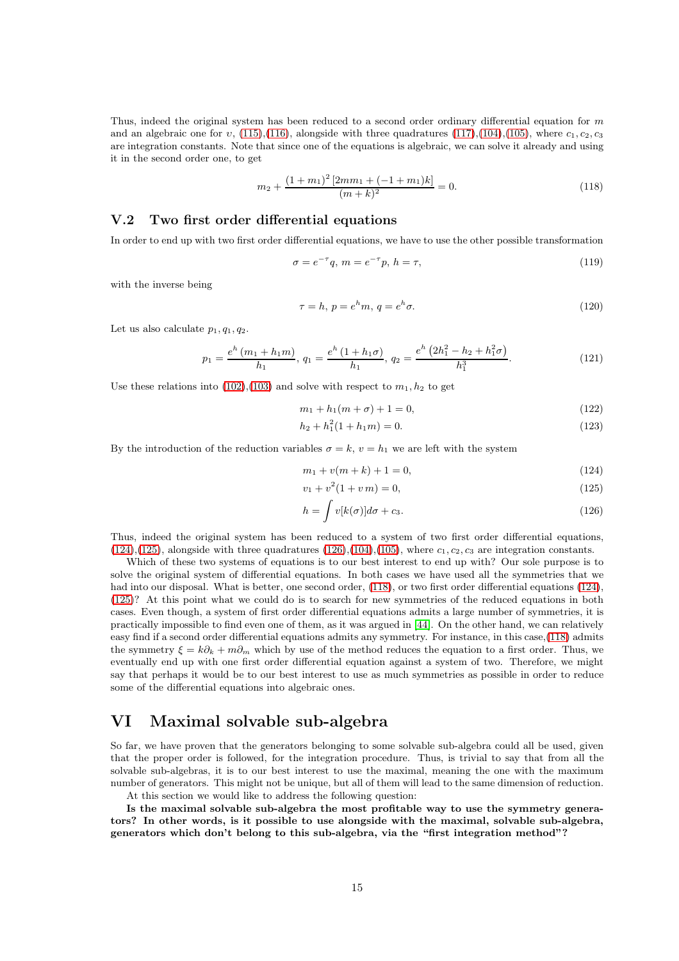Thus, indeed the original system has been reduced to a second order ordinary differential equation for  $m$ and an algebraic one for v,  $(115),(116)$  $(115),(116)$ , alongside with three quadratures  $(117),(104),(105)$  $(117),(104),(105)$  $(117),(104),(105)$  $(117),(104),(105)$ , where  $c_1, c_2, c_3$ are integration constants. Note that since one of the equations is algebraic, we can solve it already and using it in the second order one, to get

$$
m_2 + \frac{(1+m_1)^2 [2mm_1 + (-1+m_1)k]}{(m+k)^2} = 0.
$$
\n(118)

#### V.2 Two first order differential equations

In order to end up with two first order differential equations, we have to use the other possible transformation

<span id="page-14-3"></span>
$$
\sigma = e^{-\tau}q, m = e^{-\tau}p, h = \tau,
$$
\n(119)

with the inverse being

$$
\tau = h, \, p = e^h m, \, q = e^h \sigma. \tag{120}
$$

Let us also calculate  $p_1, q_1, q_2$ .

$$
p_1 = \frac{e^h (m_1 + h_1 m)}{h_1}, q_1 = \frac{e^h (1 + h_1 \sigma)}{h_1}, q_2 = \frac{e^h (2h_1^2 - h_2 + h_1^2 \sigma)}{h_1^3}.
$$
 (121)

Use these relations into  $(102),(103)$  $(102),(103)$  and solve with respect to  $m_1, h_2$  to get

$$
m_1 + h_1(m + \sigma) + 1 = 0,\t(122)
$$

$$
h_2 + h_1^2(1 + h_1 m) = 0.
$$
\n(123)

By the introduction of the reduction variables  $\sigma = k$ ,  $v = h_1$  we are left with the system

<span id="page-14-1"></span><span id="page-14-0"></span>
$$
m_1 + v(m+k) + 1 = 0,\t(124)
$$

$$
v_1 + v^2(1 + v m) = 0,\t\t(125)
$$

<span id="page-14-2"></span>
$$
h = \int v[k(\sigma)]d\sigma + c_3. \tag{126}
$$

Thus, indeed the original system has been reduced to a system of two first order differential equations,  $(124),(125)$  $(124),(125)$  $(124),(125)$ , alongside with three quadratures  $(126),(104),(105)$  $(126),(104),(105)$  $(126),(104),(105)$  $(126),(104),(105)$ , where  $c_1, c_2, c_3$  are integration constants.

Which of these two systems of equations is to our best interest to end up with? Our sole purpose is to solve the original system of differential equations. In both cases we have used all the symmetries that we had into our disposal. What is better, one second order,  $(118)$ , or two first order differential equations  $(124)$ , [\(125\)](#page-14-1)? At this point what we could do is to search for new symmetries of the reduced equations in both cases. Even though, a system of first order differential equations admits a large number of symmetries, it is practically impossible to find even one of them, as it was argued in [\[44\]](#page-20-20). On the other hand, we can relatively easy find if a second order differential equations admits any symmetry. For instance, in this case,[\(118\)](#page-14-3) admits the symmetry  $\xi = k\partial_k + m\partial_m$  which by use of the method reduces the equation to a first order. Thus, we eventually end up with one first order differential equation against a system of two. Therefore, we might say that perhaps it would be to our best interest to use as much symmetries as possible in order to reduce some of the differential equations into algebraic ones.

### VI Maximal solvable sub-algebra

So far, we have proven that the generators belonging to some solvable sub-algebra could all be used, given that the proper order is followed, for the integration procedure. Thus, is trivial to say that from all the solvable sub-algebras, it is to our best interest to use the maximal, meaning the one with the maximum number of generators. This might not be unique, but all of them will lead to the same dimension of reduction.

At this section we would like to address the following question:

Is the maximal solvable sub-algebra the most profitable way to use the symmetry generators? In other words, is it possible to use alongside with the maximal, solvable sub-algebra, generators which don't belong to this sub-algebra, via the "first integration method"?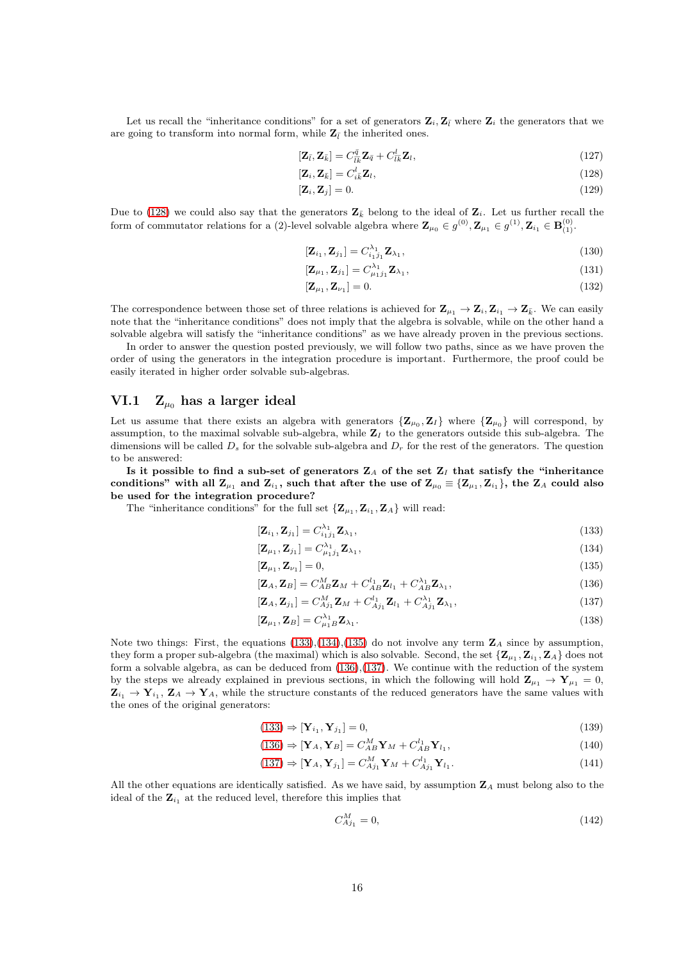Let us recall the "inheritance conditions" for a set of generators  $\mathbf{Z}_i, \mathbf{Z}_l$  where  $\mathbf{Z}_i$  the generators that we are going to transform into normal form, while  $\mathbf{Z}_{\bar{l}}$  the inherited ones.

<span id="page-15-0"></span>
$$
\left[\mathbf{Z}_{\bar{l}},\mathbf{Z}_{\bar{k}}\right] = C_{\bar{l}\bar{k}}^{\bar{q}}\mathbf{Z}_{\bar{q}} + C_{\bar{l}\bar{k}}^{\bar{l}}\mathbf{Z}_{l},\tag{127}
$$

$$
\left[\mathbf{Z}_i, \mathbf{Z}_{\bar{k}}\right] = C_{i\bar{k}}^l \mathbf{Z}_l,\tag{128}
$$

$$
[\mathbf{Z}_i, \mathbf{Z}_j] = 0. \tag{129}
$$

Due to [\(128\)](#page-15-0) we could also say that the generators  $\mathbf{Z}_{\bar{k}}$  belong to the ideal of  $\mathbf{Z}_i$ . Let us further recall the form of commutator relations for a (2)-level solvable algebra where  $\mathbf{Z}_{\mu_0} \in g^{(0)}, \mathbf{Z}_{\mu_1} \in g^{(1)}, \mathbf{Z}_{i_1} \in \mathbf{B}_{(1)}^{(0)}$ .

$$
\left[\mathbf{Z}_{i_1}, \mathbf{Z}_{j_1}\right] = C_{i_1 j_1}^{\lambda_1} \mathbf{Z}_{\lambda_1},\tag{130}
$$

$$
\left[\mathbf{Z}_{\mu_1}, \mathbf{Z}_{j_1}\right] = C_{\mu_1 j_1}^{\lambda_1} \mathbf{Z}_{\lambda_1},\tag{131}
$$

$$
\left[\mathbf{Z}_{\mu_1}, \mathbf{Z}_{\nu_1}\right] = 0. \tag{132}
$$

The correspondence between those set of three relations is achieved for  $\mathbf{Z}_{\mu_1} \to \mathbf{Z}_i, \mathbf{Z}_i, \to \mathbf{Z}_{\bar{k}}$ . We can easily note that the "inheritance conditions" does not imply that the algebra is solvable, while on the other hand a solvable algebra will satisfy the "inheritance conditions" as we have already proven in the previous sections.

In order to answer the question posted previously, we will follow two paths, since as we have proven the order of using the generators in the integration procedure is important. Furthermore, the proof could be easily iterated in higher order solvable sub-algebras.

### VI.1  $Z_{\mu_0}$  has a larger ideal

Let us assume that there exists an algebra with generators  $\{Z_{\mu_0}, Z_I\}$  where  $\{Z_{\mu_0}\}$  will correspond, by assumption, to the maximal solvable sub-algebra, while  $\mathbb{Z}_I$  to the generators outside this sub-algebra. The dimensions will be called  $D<sub>s</sub>$  for the solvable sub-algebra and  $D<sub>r</sub>$  for the rest of the generators. The question to be answered:

Is it possible to find a sub-set of generators  $Z_A$  of the set  $Z_I$  that satisfy the "inheritance conditions" with all  $\mathbf{Z}_{\mu_1}$  and  $\mathbf{Z}_{i_1},$  such that after the use of  $\mathbf{Z}_{\mu_0} \equiv \{ \mathbf{Z}_{\mu_1}, \mathbf{Z}_{i_1} \},$  the  $\mathbf{Z}_A$  could also be used for the integration procedure?

The "inheritance conditions" for the full set  $\{Z_{\mu_1}, Z_{i_1}, Z_A\}$  will read:

<span id="page-15-1"></span>
$$
\left[\mathbf{Z}_{i_1}, \mathbf{Z}_{j_1}\right] = C_{i_1 j_1}^{\lambda_1} \mathbf{Z}_{\lambda_1},\tag{133}
$$

<span id="page-15-3"></span><span id="page-15-2"></span>
$$
\left[\mathbf{Z}_{\mu_1}, \mathbf{Z}_{j_1}\right] = C_{\mu_1 j_1}^{\lambda_1} \mathbf{Z}_{\lambda_1},\tag{134}
$$

$$
\left[\mathbf{Z}_{\mu_1}, \mathbf{Z}_{\nu_1}\right] = 0,\tag{135}
$$

<span id="page-15-4"></span>
$$
\left[\mathbf{Z}_A, \mathbf{Z}_B\right] = C_{AB}^M \mathbf{Z}_M + C_{AB}^{\ell_1} \mathbf{Z}_{\ell_1} + C_{AB}^{\lambda_1} \mathbf{Z}_{\lambda_1},\tag{136}
$$

$$
[\mathbf{Z}_A, \mathbf{Z}_{j_1}] = C_{Aj_1}^M \mathbf{Z}_M + C_{Aj_1}^{l_1} \mathbf{Z}_{l_1} + C_{Aj_1}^{\lambda_1} \mathbf{Z}_{\lambda_1},
$$
\n(137)

<span id="page-15-5"></span>
$$
\left[\mathbf{Z}_{\mu_1}, \mathbf{Z}_B\right] = C_{\mu_1 B}^{\lambda_1} \mathbf{Z}_{\lambda_1}.
$$
\n(138)

Note two things: First, the equations  $(133),(134),(135)$  $(133),(134),(135)$  $(133),(134),(135)$  $(133),(134),(135)$  do not involve any term  $\mathbb{Z}_A$  since by assumption, they form a proper sub-algebra (the maximal) which is also solvable. Second, the set  $\{Z_{\mu_1}, Z_{i_1}, Z_A\}$  does not form a solvable algebra, as can be deduced from [\(136\)](#page-15-4),[\(137\)](#page-15-5). We continue with the reduction of the system by the steps we already explained in previous sections, in which the following will hold  $\mathbf{Z}_{\mu_1} \to \mathbf{Y}_{\mu_1} = 0$ ,  $\mathbf{Z}_{i_1} \to \mathbf{Y}_{i_1}$ ,  $\mathbf{Z}_A \to \mathbf{Y}_A$ , while the structure constants of the reduced generators have the same values with the ones of the original generators:

$$
(133) \Rightarrow [\mathbf{Y}_{i_1}, \mathbf{Y}_{j_1}] = 0,\tag{139}
$$

$$
(136) \Rightarrow [\mathbf{Y}_A, \mathbf{Y}_B] = C_{AB}^M \mathbf{Y}_M + C_{AB}^{\mathfrak{l}_1} \mathbf{Y}_{\mathfrak{l}_1},\tag{140}
$$

$$
(137) \Rightarrow [\mathbf{Y}_A, \mathbf{Y}_{j_1}] = C_{Aj_1}^M \mathbf{Y}_M + C_{Aj_1}^{l_1} \mathbf{Y}_{l_1}.
$$
\n(141)

All the other equations are identically satisfied. As we have said, by assumption  $\mathbf{Z}_A$  must belong also to the ideal of the  $\mathbf{Z}_{i_1}$  at the reduced level, therefore this implies that

<span id="page-15-7"></span><span id="page-15-6"></span>
$$
C_{Aj_1}^M = 0,\t\t(142)
$$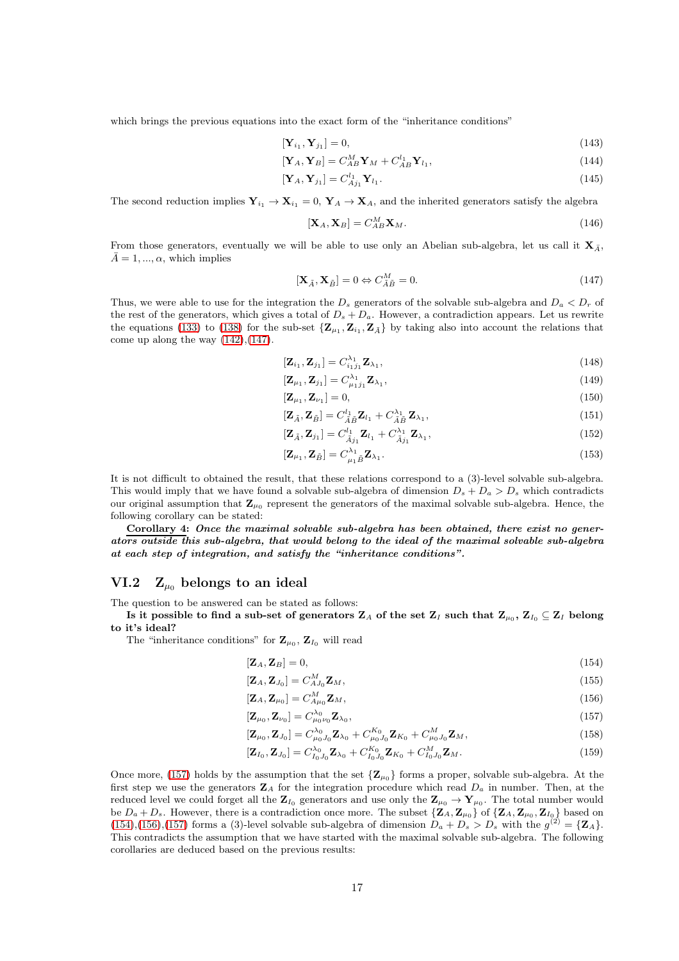which brings the previous equations into the exact form of the "inheritance conditions"

$$
\left[\mathbf{Y}_{i_1}, \mathbf{Y}_{j_1}\right] = 0,\tag{143}
$$

$$
\left[\mathbf{Y}_A, \mathbf{Y}_B\right] = C_{AB}^M \mathbf{Y}_M + C_{AB}^{l_1} \mathbf{Y}_{l_1},\tag{144}
$$

$$
\left[\mathbf{Y}_A, \mathbf{Y}_{j_1}\right] = C_{A j_1}^{l_1} \mathbf{Y}_{l_1}.\tag{145}
$$

The second reduction implies  $Y_{i_1} \to X_{i_1} = 0$ ,  $Y_A \to X_A$ , and the inherited generators satisfy the algebra

<span id="page-16-0"></span>
$$
[\mathbf{X}_A, \mathbf{X}_B] = C_{AB}^M \mathbf{X}_M. \tag{146}
$$

From those generators, eventually we will be able to use only an Abelian sub-algebra, let us call it  $\mathbf{X}_{\bar{A}}$ ,  $\bar{A} = 1, ..., \alpha$ , which implies

$$
[\mathbf{X}_{\tilde{A}}, \mathbf{X}_{\tilde{B}}] = 0 \Leftrightarrow C_{\tilde{A}\tilde{B}}^M = 0. \tag{147}
$$

Thus, we were able to use for the integration the  $D_s$  generators of the solvable sub-algebra and  $D_a < D_r$  of the rest of the generators, which gives a total of  $D_s + D_a$ . However, a contradiction appears. Let us rewrite the equations [\(133\)](#page-15-1) to [\(138\)](#page-15-6) for the sub-set  $\{Z_{\mu_1}, Z_{i_1}, Z_{\tilde{A}}\}$  by taking also into account the relations that come up along the way  $(142),(147)$  $(142),(147)$ .

$$
\left[\mathbf{Z}_{i_1}, \mathbf{Z}_{j_1}\right] = C_{i_1 j_1}^{\lambda_1} \mathbf{Z}_{\lambda_1},\tag{148}
$$

$$
\left[\mathbf{Z}_{\mu_1}, \mathbf{Z}_{j_1}\right] = C_{\mu_1 j_1}^{\lambda_1} \mathbf{Z}_{\lambda_1},\tag{149}
$$

$$
\left[\mathbf{Z}_{\mu_1}, \mathbf{Z}_{\nu_1}\right] = 0,\tag{150}
$$

$$
[\mathbf{Z}_{\tilde{A}}, \mathbf{Z}_{\tilde{B}}] = C_{\tilde{A}\tilde{B}}^{l_1} \mathbf{Z}_{l_1} + C_{\tilde{A}\tilde{B}}^{\lambda_1} \mathbf{Z}_{\lambda_1},
$$
\n(151)

$$
\left[\mathbf{Z}_{\tilde{A}}, \mathbf{Z}_{j1}\right] = C_{\tilde{A}j_1}^{l_1} \mathbf{Z}_{l_1} + C_{\tilde{A}j_1}^{\lambda_1} \mathbf{Z}_{\lambda_1},\tag{152}
$$

$$
\left[\mathbf{Z}_{\mu_1}, \mathbf{Z}_{\tilde{B}}\right] = C_{\mu_1 \tilde{B}}^{\lambda_1} \mathbf{Z}_{\lambda_1}.
$$
\n(153)

It is not difficult to obtained the result, that these relations correspond to a (3)-level solvable sub-algebra. This would imply that we have found a solvable sub-algebra of dimension  $D_s + D_a > D_s$  which contradicts our original assumption that  $\mathbf{Z}_{\mu_0}$  represent the generators of the maximal solvable sub-algebra. Hence, the following corollary can be stated:

Corollary 4: Once the maximal solvable sub-algebra has been obtained, there exist no generators outside this sub-algebra, that would belong to the ideal of the maximal solvable sub-algebra at each step of integration, and satisfy the "inheritance conditions".

#### VI.2  $\mathbf{Z}_{\mu_0}$  belongs to an ideal

The question to be answered can be stated as follows:

Is it possible to find a sub-set of generators  ${\bf Z}_A$  of the set  ${\bf Z}_I$  such that  ${\bf Z}_{\mu_0},\,{\bf Z}_{I_0} \subseteq {\bf Z}_I$  belong to it's ideal?

The "inheritance conditions" for  $\mathbf{Z}_{\mu_0}$ ,  $\mathbf{Z}_{I_0}$  will read

$$
[\mathbf{Z}_A, \mathbf{Z}_B] = 0,\t\t(154)
$$

<span id="page-16-2"></span>
$$
\left[\mathbf{Z}_A, \mathbf{Z}_{J_0}\right] = C_{AJ_0}^M \mathbf{Z}_M,\tag{155}
$$

$$
\left[\mathbf{Z}_A, \mathbf{Z}_{\mu_0}\right] = C_{A\mu_0}^M \mathbf{Z}_M,\tag{156}
$$

<span id="page-16-3"></span><span id="page-16-1"></span>
$$
\left[\mathbf{Z}_{\mu_0}, \mathbf{Z}_{\nu_0}\right] = C_{\mu_0 \nu_0}^{\lambda_0} \mathbf{Z}_{\lambda_0},\tag{157}
$$

$$
\left[\mathbf{Z}_{\mu_{0}},\mathbf{Z}_{J_{0}}\right] = C_{\mu_{0}J_{0}}^{\lambda_{0}}\mathbf{Z}_{\lambda_{0}} + C_{\mu_{0}J_{0}}^{K_{0}}\mathbf{Z}_{K_{0}} + C_{\mu_{0}J_{0}}^{M}\mathbf{Z}_{M},
$$
\n(158)

$$
[\mathbf{Z}_{I_0}, \mathbf{Z}_{J_0}] = C_{I_0 J_0}^{\lambda_0} \mathbf{Z}_{\lambda_0} + C_{I_0 J_0}^{K_0} \mathbf{Z}_{K_0} + C_{I_0 J_0}^{M} \mathbf{Z}_{M}.
$$
\n(159)

Once more, [\(157\)](#page-16-1) holds by the assumption that the set  $\{Z_{\mu_0}\}$  forms a proper, solvable sub-algebra. At the first step we use the generators  $\mathbf{Z}_A$  for the integration procedure which read  $D_a$  in number. Then, at the reduced level we could forget all the  $\mathbf{Z}_{I_0}$  generators and use only the  $\mathbf{Z}_{\mu_0} \to \mathbf{Y}_{\mu_0}$ . The total number would be  $D_a + D_s$ . However, there is a contradiction once more. The subset  $\{Z_A, Z_{\mu_0}\}$  of  $\{Z_A, Z_{\mu_0}, Z_{I_0}\}$  based on  $(154),(156),(157)$  $(154),(156),(157)$  $(154),(156),(157)$  $(154),(156),(157)$  $(154),(156),(157)$  forms a (3)-level solvable sub-algebra of dimension  $D_a + D_s > D_s$  with the  $g^{(2)} = {\mathbf{Z}_A}$ . This contradicts the assumption that we have started with the maximal solvable sub-algebra. The following corollaries are deduced based on the previous results: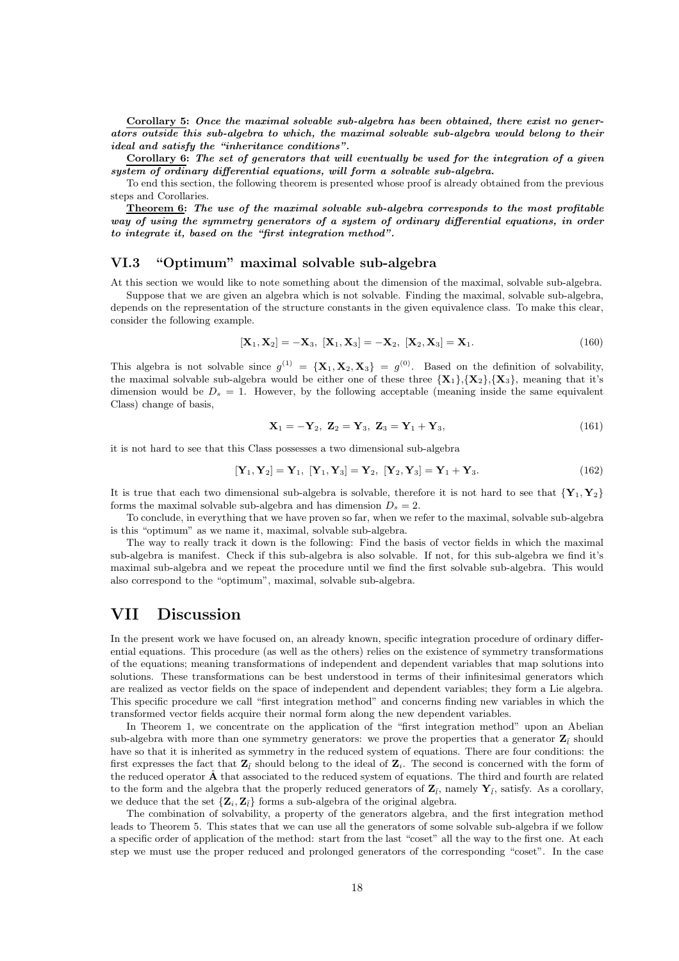Corollary 5: Once the maximal solvable sub-algebra has been obtained, there exist no generators outside this sub-algebra to which, the maximal solvable sub-algebra would belong to their ideal and satisfy the "inheritance conditions".

Corollary 6: The set of generators that will eventually be used for the integration of a given system of ordinary differential equations, will form a solvable sub-algebra.

To end this section, the following theorem is presented whose proof is already obtained from the previous steps and Corollaries.

Theorem 6: The use of the maximal solvable sub-algebra corresponds to the most profitable way of using the symmetry generators of a system of ordinary differential equations, in order to integrate it, based on the "first integration method".

### VI.3 "Optimum" maximal solvable sub-algebra

At this section we would like to note something about the dimension of the maximal, solvable sub-algebra.

Suppose that we are given an algebra which is not solvable. Finding the maximal, solvable sub-algebra, depends on the representation of the structure constants in the given equivalence class. To make this clear, consider the following example.

$$
[\mathbf{X}_1, \mathbf{X}_2] = -\mathbf{X}_3, [\mathbf{X}_1, \mathbf{X}_3] = -\mathbf{X}_2, [\mathbf{X}_2, \mathbf{X}_3] = \mathbf{X}_1.
$$
\n(160)

This algebra is not solvable since  $g^{(1)} = {\mathbf{X}_1, \mathbf{X}_2, \mathbf{X}_3} = g^{(0)}$ . Based on the definition of solvability, the maximal solvable sub-algebra would be either one of these three  $\{X_1\}, \{X_2\}, \{X_3\}$ , meaning that it's dimension would be  $D_s = 1$ . However, by the following acceptable (meaning inside the same equivalent Class) change of basis,

$$
\mathbf{X}_1 = -\mathbf{Y}_2, \ \mathbf{Z}_2 = \mathbf{Y}_3, \ \mathbf{Z}_3 = \mathbf{Y}_1 + \mathbf{Y}_3,\tag{161}
$$

it is not hard to see that this Class possesses a two dimensional sub-algebra

$$
[\mathbf{Y}_1, \mathbf{Y}_2] = \mathbf{Y}_1, [\mathbf{Y}_1, \mathbf{Y}_3] = \mathbf{Y}_2, [\mathbf{Y}_2, \mathbf{Y}_3] = \mathbf{Y}_1 + \mathbf{Y}_3.
$$
\n(162)

It is true that each two dimensional sub-algebra is solvable, therefore it is not hard to see that  $\{Y_1, Y_2\}$ forms the maximal solvable sub-algebra and has dimension  $D_s = 2$ .

To conclude, in everything that we have proven so far, when we refer to the maximal, solvable sub-algebra is this "optimum" as we name it, maximal, solvable sub-algebra.

The way to really track it down is the following: Find the basis of vector fields in which the maximal sub-algebra is manifest. Check if this sub-algebra is also solvable. If not, for this sub-algebra we find it's maximal sub-algebra and we repeat the procedure until we find the first solvable sub-algebra. This would also correspond to the "optimum", maximal, solvable sub-algebra.

### VII Discussion

In the present work we have focused on, an already known, specific integration procedure of ordinary differential equations. This procedure (as well as the others) relies on the existence of symmetry transformations of the equations; meaning transformations of independent and dependent variables that map solutions into solutions. These transformations can be best understood in terms of their infinitesimal generators which are realized as vector fields on the space of independent and dependent variables; they form a Lie algebra. This specific procedure we call "first integration method" and concerns finding new variables in which the transformed vector fields acquire their normal form along the new dependent variables.

In Theorem 1, we concentrate on the application of the "first integration method" upon an Abelian sub-algebra with more than one symmetry generators: we prove the properties that a generator  $\mathbf{Z}_{\bar{l}}$  should have so that it is inherited as symmetry in the reduced system of equations. There are four conditions: the first expresses the fact that  $\mathbf{Z}_l$  should belong to the ideal of  $\mathbf{Z}_i$ . The second is concerned with the form of the reduced operator  $\hat{A}$  that associated to the reduced system of equations. The third and fourth are related to the form and the algebra that the properly reduced generators of  $\mathbf{Z}_{\bar{l}}$ , namely  $\mathbf{Y}_{\bar{l}}$ , satisfy. As a corollary, we deduce that the set  $\{Z_i, Z_{\bar{i}}\}$  forms a sub-algebra of the original algebra.

The combination of solvability, a property of the generators algebra, and the first integration method leads to Theorem 5. This states that we can use all the generators of some solvable sub-algebra if we follow a specific order of application of the method: start from the last "coset" all the way to the first one. At each step we must use the proper reduced and prolonged generators of the corresponding "coset". In the case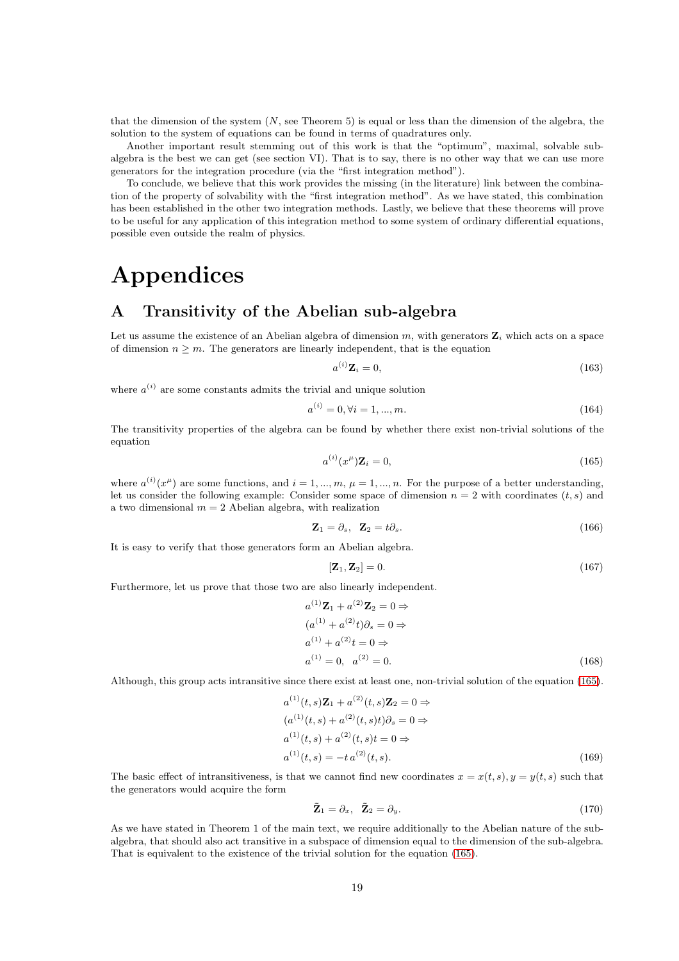that the dimension of the system  $(N, \text{ see Theorem 5})$  is equal or less than the dimension of the algebra, the solution to the system of equations can be found in terms of quadratures only.

Another important result stemming out of this work is that the "optimum", maximal, solvable subalgebra is the best we can get (see section VI). That is to say, there is no other way that we can use more generators for the integration procedure (via the "first integration method").

To conclude, we believe that this work provides the missing (in the literature) link between the combination of the property of solvability with the "first integration method". As we have stated, this combination has been established in the other two integration methods. Lastly, we believe that these theorems will prove to be useful for any application of this integration method to some system of ordinary differential equations, possible even outside the realm of physics.

# Appendices

## A Transitivity of the Abelian sub-algebra

Let us assume the existence of an Abelian algebra of dimension m, with generators  $\mathbf{Z}_i$  which acts on a space of dimension  $n \geq m$ . The generators are linearly independent, that is the equation

$$
a^{(i)}\mathbf{Z}_i = 0,\tag{163}
$$

where  $a^{(i)}$  are some constants admits the trivial and unique solution

$$
a^{(i)} = 0, \forall i = 1, ..., m. \tag{164}
$$

The transitivity properties of the algebra can be found by whether there exist non-trivial solutions of the equation

<span id="page-18-0"></span>
$$
a^{(i)}(x^{\mu})\mathbf{Z}_i = 0,\tag{165}
$$

where  $a^{(i)}(x^{\mu})$  are some functions, and  $i = 1, ..., m$ ,  $\mu = 1, ..., n$ . For the purpose of a better understanding, let us consider the following example: Consider some space of dimension  $n = 2$  with coordinates  $(t, s)$  and a two dimensional  $m = 2$  Abelian algebra, with realization

$$
\mathbf{Z}_1 = \partial_s, \quad \mathbf{Z}_2 = t \partial_s. \tag{166}
$$

It is easy to verify that those generators form an Abelian algebra.

$$
[\mathbf{Z}_1, \mathbf{Z}_2] = 0. \tag{167}
$$

Furthermore, let us prove that those two are also linearly independent.

$$
a^{(1)}\mathbf{Z}_1 + a^{(2)}\mathbf{Z}_2 = 0 \Rightarrow
$$
  
\n
$$
(a^{(1)} + a^{(2)}t)\partial_s = 0 \Rightarrow
$$
  
\n
$$
a^{(1)} + a^{(2)}t = 0 \Rightarrow
$$
  
\n
$$
a^{(1)} = 0, \quad a^{(2)} = 0.
$$
\n(168)

Although, this group acts intransitive since there exist at least one, non-trivial solution of the equation [\(165\)](#page-18-0).

$$
a^{(1)}(t,s)\mathbf{Z}_1 + a^{(2)}(t,s)\mathbf{Z}_2 = 0 \Rightarrow
$$
  
\n
$$
(a^{(1)}(t,s) + a^{(2)}(t,s)t)\partial_s = 0 \Rightarrow
$$
  
\n
$$
a^{(1)}(t,s) + a^{(2)}(t,s)t = 0 \Rightarrow
$$
  
\n
$$
a^{(1)}(t,s) = -t a^{(2)}(t,s).
$$
\n(169)

The basic effect of intransitiveness, is that we cannot find new coordinates  $x = x(t, s)$ ,  $y = y(t, s)$  such that the generators would acquire the form

$$
\tilde{\mathbf{Z}}_1 = \partial_x, \quad \tilde{\mathbf{Z}}_2 = \partial_y. \tag{170}
$$

As we have stated in Theorem 1 of the main text, we require additionally to the Abelian nature of the subalgebra, that should also act transitive in a subspace of dimension equal to the dimension of the sub-algebra. That is equivalent to the existence of the trivial solution for the equation [\(165\)](#page-18-0).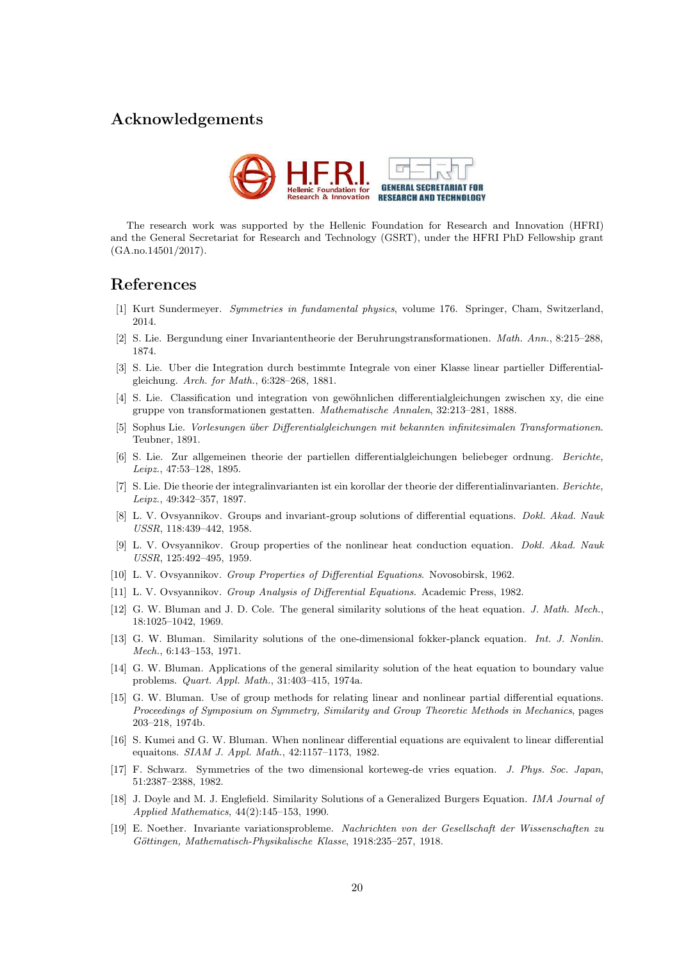## Acknowledgements



The research work was supported by the Hellenic Foundation for Research and Innovation (HFRI) and the General Secretariat for Research and Technology (GSRT), under the HFRI PhD Fellowship grant (GA.no.14501/2017).

### <span id="page-19-0"></span>References

- <span id="page-19-1"></span>[1] Kurt Sundermeyer. Symmetries in fundamental physics, volume 176. Springer, Cham, Switzerland, 2014.
- [2] S. Lie. Bergundung einer Invariantentheorie der Beruhrungstransformationen. Math. Ann., 8:215–288, 1874.
- [3] S. Lie. Uber die Integration durch bestimmte Integrale von einer Klasse linear partieller Differentialgleichung. Arch. for Math., 6:328–268, 1881.
- [4] S. Lie. Classification und integration von gewöhnlichen differentialgleichungen zwischen xy, die eine gruppe von transformationen gestatten. Mathematische Annalen, 32:213–281, 1888.
- [5] Sophus Lie. Vorlesungen ¨uber Differentialgleichungen mit bekannten infinitesimalen Transformationen. Teubner, 1891.
- [6] S. Lie. Zur allgemeinen theorie der partiellen differentialgleichungen beliebeger ordnung. Berichte, Leipz., 47:53–128, 1895.
- <span id="page-19-2"></span>[7] S. Lie. Die theorie der integralinvarianten ist ein korollar der theorie der differentialinvarianten. Berichte, Leipz., 49:342–357, 1897.
- <span id="page-19-3"></span>[8] L. V. Ovsyannikov. Groups and invariant-group solutions of differential equations. Dokl. Akad. Nauk USSR, 118:439–442, 1958.
- [9] L. V. Ovsyannikov. Group properties of the nonlinear heat conduction equation. Dokl. Akad. Nauk USSR, 125:492–495, 1959.
- <span id="page-19-4"></span>[10] L. V. Ovsyannikov. Group Properties of Differential Equations. Novosobirsk, 1962.
- <span id="page-19-5"></span>[11] L. V. Ovsyannikov. Group Analysis of Differential Equations. Academic Press, 1982.
- [12] G. W. Bluman and J. D. Cole. The general similarity solutions of the heat equation. J. Math. Mech., 18:1025–1042, 1969.
- [13] G. W. Bluman. Similarity solutions of the one-dimensional fokker-planck equation. Int. J. Nonlin. Mech., 6:143–153, 1971.
- [14] G. W. Bluman. Applications of the general similarity solution of the heat equation to boundary value problems. Quart. Appl. Math., 31:403–415, 1974a.
- [15] G. W. Bluman. Use of group methods for relating linear and nonlinear partial differential equations. Proceedings of Symposium on Symmetry, Similarity and Group Theoretic Methods in Mechanics, pages 203–218, 1974b.
- [16] S. Kumei and G. W. Bluman. When nonlinear differential equations are equivalent to linear differential equaitons. SIAM J. Appl. Math., 42:1157–1173, 1982.
- [17] F. Schwarz. Symmetries of the two dimensional korteweg-de vries equation. J. Phys. Soc. Japan, 51:2387–2388, 1982.
- <span id="page-19-6"></span>[18] J. Doyle and M. J. Englefield. Similarity Solutions of a Generalized Burgers Equation. IMA Journal of Applied Mathematics, 44(2):145–153, 1990.
- <span id="page-19-7"></span>[19] E. Noether. Invariante variationsprobleme. Nachrichten von der Gesellschaft der Wissenschaften zu Göttingen, Mathematisch-Physikalische Klasse, 1918:235-257, 1918.